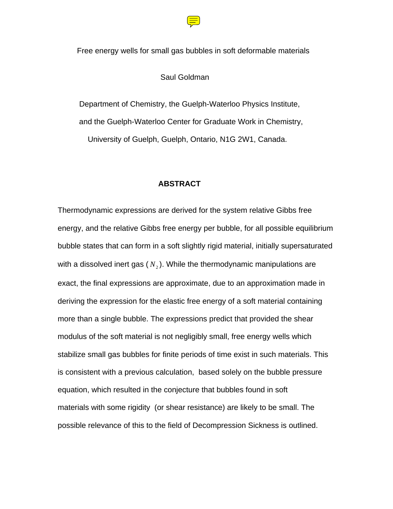

Free energy wells for small gas bubbles in soft deformable materials

Saul Goldman

 Department of Chemistry, the Guelph-Waterloo Physics Institute, and the Guelph-Waterloo Center for Graduate Work in Chemistry, University of Guelph, Guelph, Ontario, N1G 2W1, Canada.

# **ABSTRACT**

Thermodynamic expressions are derived for the system relative Gibbs free energy, and the relative Gibbs free energy per bubble, for all possible equilibrium bubble states that can form in a soft slightly rigid material, initially supersaturated with a dissolved inert gas  $(N_2)$ . While the thermodynamic manipulations are exact, the final expressions are approximate, due to an approximation made in deriving the expression for the elastic free energy of a soft material containing more than a single bubble. The expressions predict that provided the shear modulus of the soft material is not negligibly small, free energy wells which stabilize small gas bubbles for finite periods of time exist in such materials. This is consistent with a previous calculation, based solely on the bubble pressure equation, which resulted in the conjecture that bubbles found in soft materials with some rigidity (or shear resistance) are likely to be small. The possible relevance of this to the field of Decompression Sickness is outlined.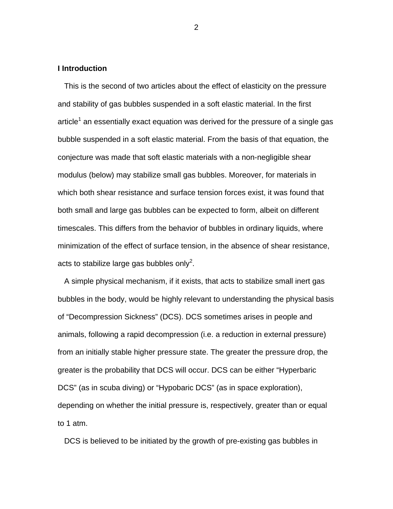# **I Introduction**

This is the second of two articles about the effect of elasticity on the pressure and stability of gas bubbles suspended in a soft elastic material. In the first article<sup>1</sup> an essentially exact equation was derived for the pressure of a single gas bubble suspended in a soft elastic material. From the basis of that equation, the conjecture was made that soft elastic materials with a non-negligible shear modulus (below) may stabilize small gas bubbles. Moreover, for materials in which both shear resistance and surface tension forces exist, it was found that both small and large gas bubbles can be expected to form, albeit on different timescales. This differs from the behavior of bubbles in ordinary liquids, where minimization of the effect of surface tension, in the absence of shear resistance, acts to stabilize large gas bubbles only<sup>2</sup>.

 A simple physical mechanism, if it exists, that acts to stabilize small inert gas bubbles in the body, would be highly relevant to understanding the physical basis of "Decompression Sickness" (DCS). DCS sometimes arises in people and animals, following a rapid decompression (i.e. a reduction in external pressure) from an initially stable higher pressure state. The greater the pressure drop, the greater is the probability that DCS will occur. DCS can be either "Hyperbaric DCS" (as in scuba diving) or "Hypobaric DCS" (as in space exploration), depending on whether the initial pressure is, respectively, greater than or equal to 1 atm.

DCS is believed to be initiated by the growth of pre-existing gas bubbles in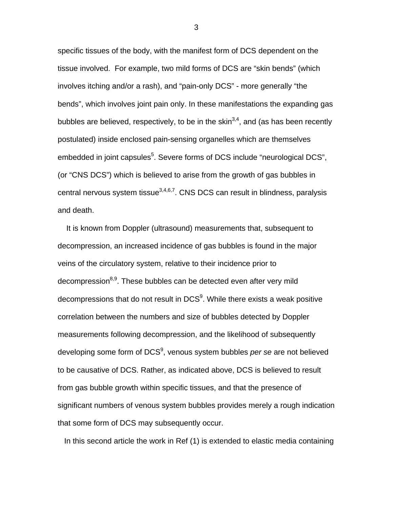specific tissues of the body, with the manifest form of DCS dependent on the tissue involved. For example, two mild forms of DCS are "skin bends" (which involves itching and/or a rash), and "pain-only DCS" - more generally "the bends", which involves joint pain only. In these manifestations the expanding gas bubbles are believed, respectively, to be in the skin<sup>3,4</sup>, and (as has been recently postulated) inside enclosed pain-sensing organelles which are themselves embedded in joint capsules<sup>5</sup>. Severe forms of DCS include "neurological DCS", (or "CNS DCS") which is believed to arise from the growth of gas bubbles in central nervous system tissue $3,4,6,7$ . CNS DCS can result in blindness, paralysis and death.

 It is known from Doppler (ultrasound) measurements that, subsequent to decompression, an increased incidence of gas bubbles is found in the major veins of the circulatory system, relative to their incidence prior to decompression<sup>8,9</sup>. These bubbles can be detected even after very mild decompressions that do not result in DCS $^9$ . While there exists a weak positive correlation between the numbers and size of bubbles detected by Doppler measurements following decompression, and the likelihood of subsequently developing some form of DCS<sup>9</sup>, venous system bubbles *per se* are not believed to be causative of DCS. Rather, as indicated above, DCS is believed to result from gas bubble growth within specific tissues, and that the presence of significant numbers of venous system bubbles provides merely a rough indication that some form of DCS may subsequently occur.

In this second article the work in Ref (1) is extended to elastic media containing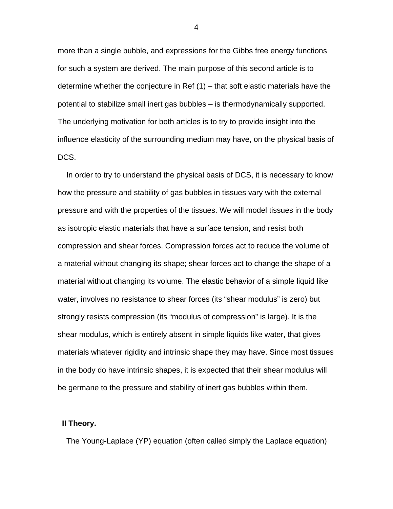more than a single bubble, and expressions for the Gibbs free energy functions for such a system are derived. The main purpose of this second article is to determine whether the conjecture in Ref (1) – that soft elastic materials have the potential to stabilize small inert gas bubbles – is thermodynamically supported. The underlying motivation for both articles is to try to provide insight into the influence elasticity of the surrounding medium may have, on the physical basis of DCS.

 In order to try to understand the physical basis of DCS, it is necessary to know how the pressure and stability of gas bubbles in tissues vary with the external pressure and with the properties of the tissues. We will model tissues in the body as isotropic elastic materials that have a surface tension, and resist both compression and shear forces. Compression forces act to reduce the volume of a material without changing its shape; shear forces act to change the shape of a material without changing its volume. The elastic behavior of a simple liquid like water, involves no resistance to shear forces (its "shear modulus" is zero) but strongly resists compression (its "modulus of compression" is large). It is the shear modulus, which is entirely absent in simple liquids like water, that gives materials whatever rigidity and intrinsic shape they may have. Since most tissues in the body do have intrinsic shapes, it is expected that their shear modulus will be germane to the pressure and stability of inert gas bubbles within them.

## **II Theory.**

The Young-Laplace (YP) equation (often called simply the Laplace equation)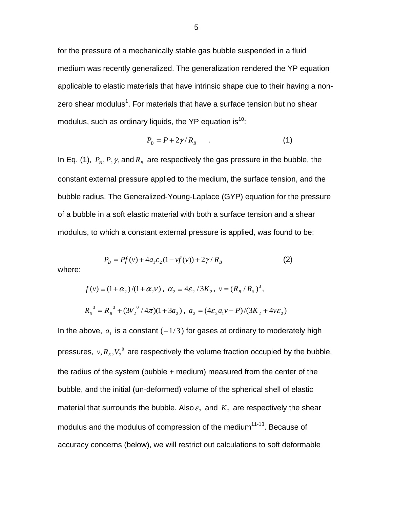for the pressure of a mechanically stable gas bubble suspended in a fluid medium was recently generalized. The generalization rendered the YP equation applicable to elastic materials that have intrinsic shape due to their having a nonzero shear modulus<sup>1</sup>. For materials that have a surface tension but no shear modulus, such as ordinary liquids, the YP equation is<sup>10</sup>:

$$
P_B = P + 2\gamma / R_B \tag{1}
$$

In Eq. (1),  $P_B$ ,  $P$ ,  $\gamma$ , and  $R_B$  are respectively the gas pressure in the bubble, the constant external pressure applied to the medium, the surface tension, and the bubble radius. The Generalized-Young-Laplace (GYP) equation for the pressure of a bubble in a soft elastic material with both a surface tension and a shear modulus, to which a constant external pressure is applied, was found to be:

$$
P_B = Pf(v) + 4a_1 \varepsilon_2 (1 - vf(v)) + 2\gamma / R_B
$$
\n(2)

where:

$$
f(v) \equiv (1 + \alpha_2)/(1 + \alpha_2 v), \ \alpha_2 \equiv 4\varepsilon_2/3K_2, \ v = (R_B/R_S)^3,
$$
  

$$
R_S^3 = R_B^3 + (3V_2^0/4\pi)(1 + 3a_2), \ a_2 = (4\varepsilon_2 a_1 v - P)/(3K_2 + 4v\varepsilon_2)
$$

In the above,  $a_1$  is a constant ( $-1/3$ ) for gases at ordinary to moderately high pressures,  $v, R_{_S}, V_2^{\;0}$  are respectively the volume fraction occupied by the bubble, the radius of the system (bubble + medium) measured from the center of the bubble, and the initial (un-deformed) volume of the spherical shell of elastic material that surrounds the bubble. Also  $\varepsilon_2$  and  $K_2$  are respectively the shear modulus and the modulus of compression of the medium<sup>11-13</sup>. Because of accuracy concerns (below), we will restrict out calculations to soft deformable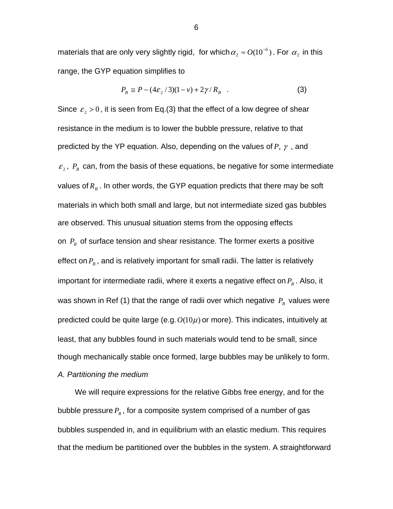materials that are only very slightly rigid, for which  $\alpha$ ,  $\approx$   $O(10^{-6})$  $\alpha_2 \approx O(10^{-6})$ . For  $\alpha_2$  in this range, the GYP equation simplifies to

$$
P_B \cong P - (4\varepsilon_2/3)(1 - v) + 2\gamma/R_B \quad . \tag{3}
$$

Since  $\varepsilon$ <sub>2</sub> > 0, it is seen from Eq.(3) that the effect of a low degree of shear resistance in the medium is to lower the bubble pressure, relative to that predicted by the YP equation. Also, depending on the values of *P*, γ , and  $\mathcal{E}_2$ ,  $P_B$  can, from the basis of these equations, be negative for some intermediate values of  $R_B$ . In other words, the GYP equation predicts that there may be soft materials in which both small and large, but not intermediate sized gas bubbles are observed. This unusual situation stems from the opposing effects on  $P_B$  of surface tension and shear resistance. The former exerts a positive effect on  $P_B$ , and is relatively important for small radii. The latter is relatively important for intermediate radii, where it exerts a negative effect on  $P_B$ . Also, it was shown in Ref (1) that the range of radii over which negative  $P_B$  values were predicted could be quite large (e.g.*O*(10μ) or more). This indicates, intuitively at least, that any bubbles found in such materials would tend to be small, since though mechanically stable once formed, large bubbles may be unlikely to form. *A. Partitioning the medium* 

We will require expressions for the relative Gibbs free energy, and for the bubble pressure  $P_{B}$ , for a composite system comprised of a number of gas bubbles suspended in, and in equilibrium with an elastic medium. This requires that the medium be partitioned over the bubbles in the system. A straightforward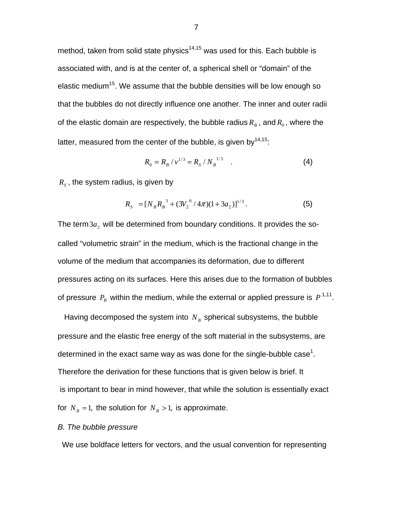method, taken from solid state physics<sup>14,15</sup> was used for this. Each bubble is associated with, and is at the center of, a spherical shell or "domain" of the elastic medium<sup>15</sup>. We assume that the bubble densities will be low enough so that the bubbles do not directly influence one another. The inner and outer radii of the elastic domain are respectively, the bubble radius  $R_B$ , and  $R_0$ , where the latter, measured from the center of the bubble, is given by  $14,15$ .

$$
R_0 = R_B / v^{1/3} = R_S / N_B^{1/3} \quad . \tag{4}
$$

 $R<sub>s</sub>$ , the system radius, is given by

$$
R_{s} = [N_{B}R_{B}^{3} + (3V_{2}^{0}/4\pi)(1+3a_{2})]^{1/3}.
$$
 (5)

The term  $3a_2$  will be determined from boundary conditions. It provides the socalled "volumetric strain" in the medium, which is the fractional change in the volume of the medium that accompanies its deformation, due to different pressures acting on its surfaces. Here this arises due to the formation of bubbles of pressure  $P_R$  within the medium, while the external or applied pressure is  $P^{1,11}$ .

Having decomposed the system into  $N_B$  spherical subsystems, the bubble pressure and the elastic free energy of the soft material in the subsystems, are determined in the exact same way as was done for the single-bubble case<sup>1</sup>. Therefore the derivation for these functions that is given below is brief. It is important to bear in mind however, that while the solution is essentially exact for  $N_B = 1$ , the solution for  $N_B > 1$ , is approximate.

#### *B. The bubble pressure*

We use boldface letters for vectors, and the usual convention for representing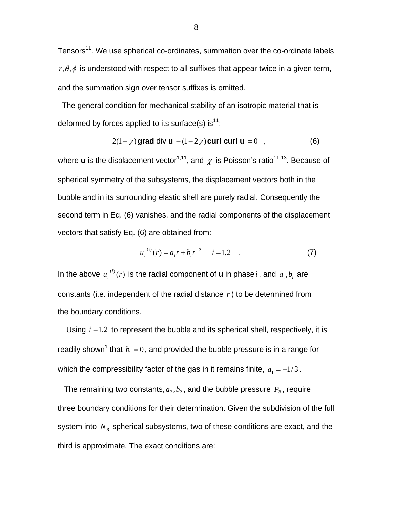Tensors<sup>11</sup>. We use spherical co-ordinates, summation over the co-ordinate labels  $r, \theta, \phi$  is understood with respect to all suffixes that appear twice in a given term, and the summation sign over tensor suffixes is omitted.

 The general condition for mechanical stability of an isotropic material that is deformed by forces applied to its surface(s) is  $11$ :

$$
2(1 - \chi) \text{grad div } \mathbf{u} - (1 - 2\chi) \text{ curl curl } \mathbf{u} = 0 \quad , \tag{6}
$$

where **u** is the displacement vector<sup>1,11</sup>, and  $\chi$  is Poisson's ratio<sup>11-13</sup>. Because of spherical symmetry of the subsystems, the displacement vectors both in the bubble and in its surrounding elastic shell are purely radial. Consequently the second term in Eq. (6) vanishes, and the radial components of the displacement vectors that satisfy Eq. (6) are obtained from:

$$
u_r^{(i)}(r) = a_i r + b_i r^{-2} \qquad i = 1, 2 \tag{7}
$$

In the above  $u_r^{(i)}(r)$  is the radial component of **u** in phase *i*, and  $a_i$ ,  $b_i$  are constants (i.e. independent of the radial distance *r* ) to be determined from the boundary conditions.

 Using *i* = 1,2 to represent the bubble and its spherical shell, respectively, it is readily shown<sup>1</sup> that  $\,b_{\rm i}=0\,$ , and provided the bubble pressure is in a range for which the compressibility factor of the gas in it remains finite,  $a_1 = -1/3$ .

The remaining two constants,  $a_2$ ,  $b_2$ , and the bubble pressure  $P_B$ , require three boundary conditions for their determination. Given the subdivision of the full system into  $N_B$  spherical subsystems, two of these conditions are exact, and the third is approximate. The exact conditions are: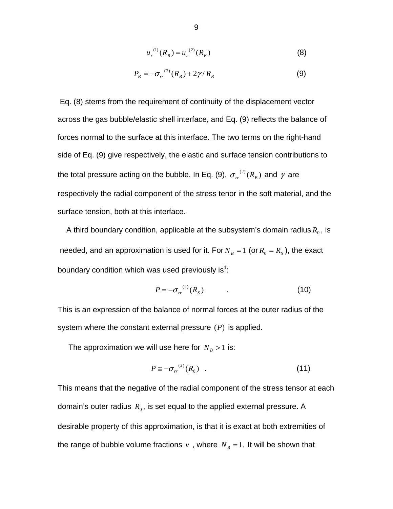$$
u_r^{(1)}(R_B) = u_r^{(2)}(R_B)
$$
 (8)

$$
P_B = -\sigma_r^{(2)}(R_B) + 2\gamma/R_B \tag{9}
$$

 Eq. (8) stems from the requirement of continuity of the displacement vector across the gas bubble/elastic shell interface, and Eq. (9) reflects the balance of forces normal to the surface at this interface. The two terms on the right-hand side of Eq. (9) give respectively, the elastic and surface tension contributions to the total pressure acting on the bubble. In Eq. (9),  $\sigma_r^{(2)}(R_B)$  and  $\gamma$  are respectively the radial component of the stress tenor in the soft material, and the surface tension, both at this interface.

A third boundary condition, applicable at the subsystem's domain radius  $R_0$ , is needed, and an approximation is used for it. For  $N_B = 1$  (or  $R_0 = R_S$ ), the exact boundary condition which was used previously is<sup>1</sup>:

$$
P = -\sigma_{rr}^{(2)}(R_s) \tag{10}
$$

This is an expression of the balance of normal forces at the outer radius of the system where the constant external pressure (*P*) is applied.

The approximation we will use here for  $N_B > 1$  is:

$$
P \cong -\sigma_r^{(2)}(R_0) \quad . \tag{11}
$$

This means that the negative of the radial component of the stress tensor at each domain's outer radius  $R_0$ , is set equal to the applied external pressure. A desirable property of this approximation, is that it is exact at both extremities of the range of bubble volume fractions  $v$ , where  $N_B = 1$ . It will be shown that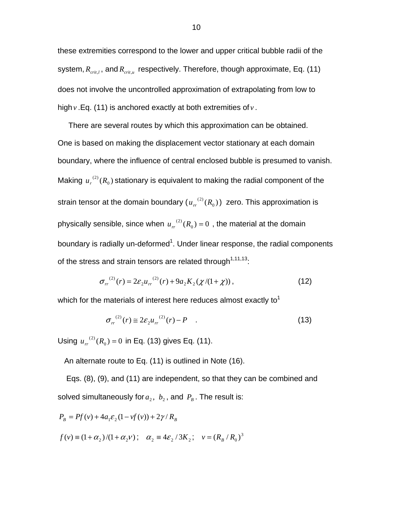these extremities correspond to the lower and upper critical bubble radii of the system,  $R_{crit,l}$ , and  $R_{crit,u}$  respectively. Therefore, though approximate, Eq. (11) does not involve the uncontrolled approximation of extrapolating from low to high *v* .Eq. (11) is anchored exactly at both extremities of *v* .

 There are several routes by which this approximation can be obtained. One is based on making the displacement vector stationary at each domain boundary, where the influence of central enclosed bubble is presumed to vanish. Making  $u_r^{(2)}(R_0)$  stationary is equivalent to making the radial component of the strain tensor at the domain boundary ( $u_{rr}^{(2)}(R_{_0})$ ) zero. This approximation is physically sensible, since when  $u_r^{(2)}(R_0) = 0$  , the material at the domain boundary is radially un-deformed<sup>1</sup>. Under linear response, the radial components of the stress and strain tensors are related through<sup>1,11,13</sup>:

$$
\sigma_{rr}^{(2)}(r) = 2\varepsilon_2 u_{rr}^{(2)}(r) + 9a_2 K_2(\chi/(1+\chi)), \qquad (12)
$$

which for the materials of interest here reduces almost exactly to<sup>1</sup>

$$
\sigma_{rr}^{(2)}(r) \cong 2\varepsilon_2 u_{rr}^{(2)}(r) - P \quad . \tag{13}
$$

Using  $u_r^{(2)}(R_0) = 0$  in Eq. (13) gives Eq. (11).

An alternate route to Eq. (11) is outlined in Note (16).

Eqs. (8), (9), and (11) are independent, so that they can be combined and solved simultaneously for  $a_2$ ,  $b_2$ , and  $P_B$ . The result is:

$$
P_B = Pf(v) + 4a_1 \varepsilon_2 (1 - v f(v)) + 2\gamma / R_B
$$
  

$$
f(v) = (1 + \alpha_2) / (1 + \alpha_2 v); \quad \alpha_2 = 4\varepsilon_2 / 3K_2; \quad v = (R_B / R_0)^3
$$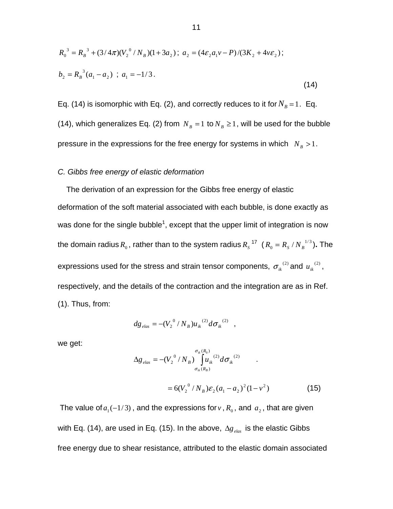$$
R_0^3 = R_B^3 + (3/4\pi)(V_2^0/N_B)(1+3a_2); a_2 = (4\varepsilon_2 a_1 v - P)/(3K_2 + 4v\varepsilon_2);
$$
  
\n
$$
b_2 = R_B^3(a_1 - a_2); a_1 = -1/3.
$$
\n(14)

Eq. (14) is isomorphic with Eq. (2), and correctly reduces to it for  $N_B = 1$ . Eq. (14), which generalizes Eq. (2) from  $N_B = 1$  to  $N_B \ge 1$ , will be used for the bubble pressure in the expressions for the free energy for systems in which  $N_B > 1$ .

## *C. Gibbs free energy of elastic deformation*

The derivation of an expression for the Gibbs free energy of elastic deformation of the soft material associated with each bubble, is done exactly as was done for the single bubble<sup>1</sup>, except that the upper limit of integration is now the domain radius  $R_{\rm 0}$  , rather than to the system radius  $R_{\rm s}$  <sup>17</sup> (  $R_{\rm 0} = R_{\rm s}$  /  $N_{\rm B}^{-1/3}$  ). The expressions used for the stress and strain tensor components,  $\sigma_{ik}^{(2)}$  and  $u_{ik}^{(2)}$ , respectively, and the details of the contraction and the integration are as in Ref. (1). Thus, from:

$$
dg_{elas} = -(V_2^{0}/N_B)u_{ik}^{(2)}d\sigma_{ik}^{(2)}
$$
,

we get:

$$
\Delta g_{elas} = -(V_2^{0} / N_B) \int_{\sigma_{ik}(R_B)}^{\sigma_{ik}(R_0)} u_{ik}^{(2)} d\sigma_{ik}^{(2)}
$$
  
=  $6(V_2^{0} / N_B) \varepsilon_2 (a_1 - a_2)^2 (1 - v^2)$  (15)

The value of  $a_1(-1/3)$ , and the expressions for *v*,  $R_0$ , and  $a_2$ , that are given with Eq. (14), are used in Eq. (15). In the above,  $\Delta g_{elas}$  is the elastic Gibbs free energy due to shear resistance, attributed to the elastic domain associated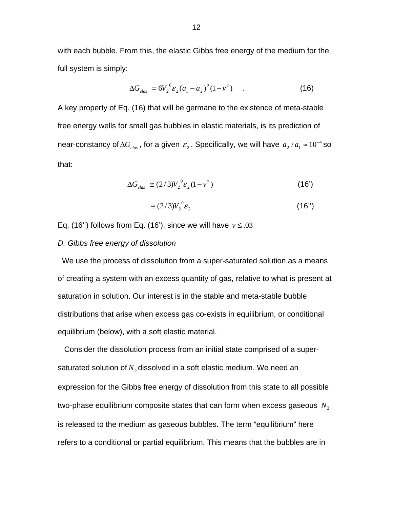with each bubble. From this, the elastic Gibbs free energy of the medium for the full system is simply:

$$
\Delta G_{elas} = 6V_2^{0} \varepsilon_2 (a_1 - a_2)^2 (1 - v^2) \tag{16}
$$

A key property of Eq. (16) that will be germane to the existence of meta-stable free energy wells for small gas bubbles in elastic materials, is its prediction of near-constancy of  $\Delta G_{elas}$  , for a given  $\,\varepsilon_{_2}$  . Specifically, we will have  $\,a_{_2}/a_{_1}\approx\!10^{-4}\,\rm s$ o that:

$$
\Delta G_{elas} \cong (2/3)V_2^0 \mathcal{E}_2(1-v^2)
$$
 (16)

$$
\approx (2/3)V_2^0 \mathcal{E}_2 \tag{16"}
$$

Eq. (16") follows from Eq. (16"), since we will have  $v \le 0.03$ 

#### *D. Gibbs free energy of dissolution*

 We use the process of dissolution from a super-saturated solution as a means of creating a system with an excess quantity of gas, relative to what is present at saturation in solution. Our interest is in the stable and meta-stable bubble distributions that arise when excess gas co-exists in equilibrium, or conditional equilibrium (below), with a soft elastic material.

 Consider the dissolution process from an initial state comprised of a supersaturated solution of  $N<sub>2</sub>$  dissolved in a soft elastic medium. We need an expression for the Gibbs free energy of dissolution from this state to all possible two-phase equilibrium composite states that can form when excess gaseous  $N<sub>2</sub>$ is released to the medium as gaseous bubbles. The term "equilibrium" here refers to a conditional or partial equilibrium. This means that the bubbles are in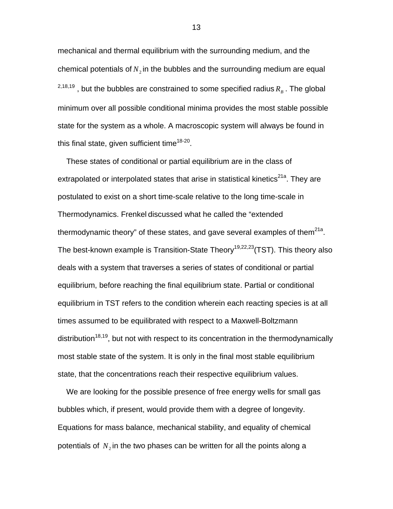mechanical and thermal equilibrium with the surrounding medium, and the chemical potentials of  $N<sub>2</sub>$  in the bubbles and the surrounding medium are equal  $^{2,18,19}$ , but the bubbles are constrained to some specified radius  $R_B$ . The global minimum over all possible conditional minima provides the most stable possible state for the system as a whole. A macroscopic system will always be found in this final state, given sufficient time<sup>18-20</sup>.

 These states of conditional or partial equilibrium are in the class of extrapolated or interpolated states that arise in statistical kinetics<sup>21a</sup>. They are postulated to exist on a short time-scale relative to the long time-scale in Thermodynamics. Frenkel discussed what he called the "extended thermodynamic theory" of these states, and gave several examples of them $^{21a}$ . The best-known example is Transition-State Theory<sup>19,22,23</sup> (TST). This theory also deals with a system that traverses a series of states of conditional or partial equilibrium, before reaching the final equilibrium state. Partial or conditional equilibrium in TST refers to the condition wherein each reacting species is at all times assumed to be equilibrated with respect to a Maxwell-Boltzmann distribution<sup>18,19</sup>, but not with respect to its concentration in the thermodynamically most stable state of the system. It is only in the final most stable equilibrium state, that the concentrations reach their respective equilibrium values.

 We are looking for the possible presence of free energy wells for small gas bubbles which, if present, would provide them with a degree of longevity. Equations for mass balance, mechanical stability, and equality of chemical potentials of  $N_2$  in the two phases can be written for all the points along a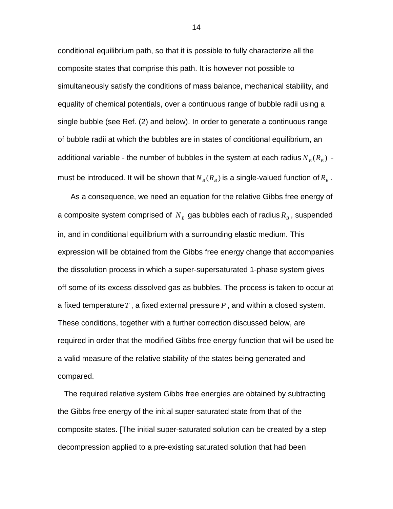conditional equilibrium path, so that it is possible to fully characterize all the composite states that comprise this path. It is however not possible to simultaneously satisfy the conditions of mass balance, mechanical stability, and equality of chemical potentials, over a continuous range of bubble radii using a single bubble (see Ref. (2) and below). In order to generate a continuous range of bubble radii at which the bubbles are in states of conditional equilibrium, an additional variable - the number of bubbles in the system at each radius  $N_B(R_B)$  must be introduced. It will be shown that  $N_B(R_B)$  is a single-valued function of  $R_B$ .

As a consequence, we need an equation for the relative Gibbs free energy of a composite system comprised of  $N_B$  gas bubbles each of radius  $R_B$ , suspended in, and in conditional equilibrium with a surrounding elastic medium. This expression will be obtained from the Gibbs free energy change that accompanies the dissolution process in which a super-supersaturated 1-phase system gives off some of its excess dissolved gas as bubbles. The process is taken to occur at a fixed temperature*T* , a fixed external pressure *P* , and within a closed system. These conditions, together with a further correction discussed below, are required in order that the modified Gibbs free energy function that will be used be a valid measure of the relative stability of the states being generated and compared.

 The required relative system Gibbs free energies are obtained by subtracting the Gibbs free energy of the initial super-saturated state from that of the composite states. [The initial super-saturated solution can be created by a step decompression applied to a pre-existing saturated solution that had been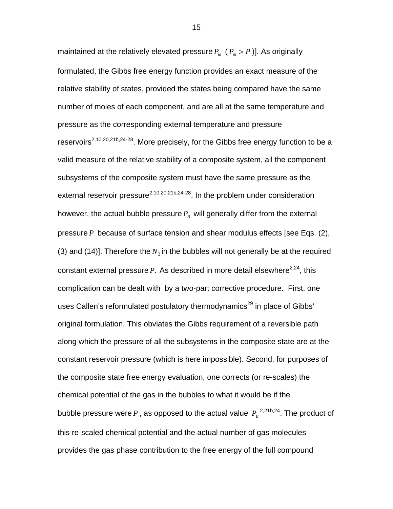maintained at the relatively elevated pressure  $P_{in}$  ( $P_{in} > P$ )]. As originally formulated, the Gibbs free energy function provides an exact measure of the relative stability of states, provided the states being compared have the same number of moles of each component, and are all at the same temperature and pressure as the corresponding external temperature and pressure reservoirs<sup>2,10,20,21b,24-28</sup>. More precisely, for the Gibbs free energy function to be a valid measure of the relative stability of a composite system, all the component subsystems of the composite system must have the same pressure as the external reservoir pressure<sup>2,10,20,21b,24-28</sup>. In the problem under consideration however, the actual bubble pressure  $P_B$  will generally differ from the external pressure *P* because of surface tension and shear modulus effects [see Eqs. (2), (3) and (14)]. Therefore the  $N<sub>2</sub>$  in the bubbles will not generally be at the required constant external pressure  $P$ . As described in more detail elsewhere<sup>2,24</sup>, this complication can be dealt with by a two-part corrective procedure. First, one uses Callen's reformulated postulatory thermodynamics<sup>29</sup> in place of Gibbs' original formulation. This obviates the Gibbs requirement of a reversible path along which the pressure of all the subsystems in the composite state are at the constant reservoir pressure (which is here impossible). Second, for purposes of the composite state free energy evaluation, one corrects (or re-scales) the chemical potential of the gas in the bubbles to what it would be if the bubble pressure were  $P$  , as opposed to the actual value  $\left. P_{_{B}} \right.^{2,21b,24}.$  The product of this re-scaled chemical potential and the actual number of gas molecules provides the gas phase contribution to the free energy of the full compound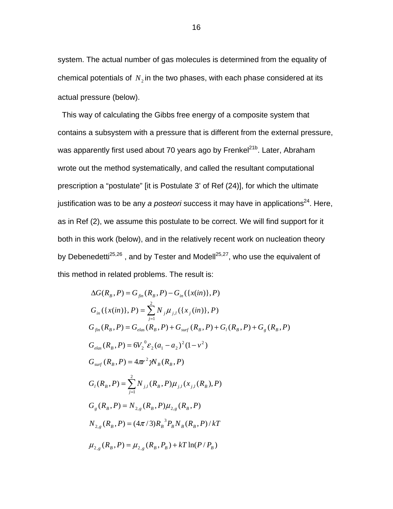system. The actual number of gas molecules is determined from the equality of chemical potentials of  $N<sub>2</sub>$  in the two phases, with each phase considered at its actual pressure (below).

 This way of calculating the Gibbs free energy of a composite system that contains a subsystem with a pressure that is different from the external pressure, was apparently first used about 70 years ago by Frenkel<sup>21b</sup>. Later, Abraham wrote out the method systematically, and called the resultant computational prescription a "postulate" [it is Postulate 3' of Ref (24)], for which the ultimate justification was to be any *a posteori* success it may have in applications<sup>24</sup>. Here, as in Ref (2), we assume this postulate to be correct. We will find support for it both in this work (below), and in the relatively recent work on nucleation theory by Debenedetti<sup>25,26</sup>, and by Tester and Modell<sup>25,27</sup>, who use the equivalent of this method in related problems. The result is:

$$
\Delta G(R_B, P) = G_{fin}(R_B, P) - G_{in}(\{x(in)\}, P)
$$
  
\n
$$
G_{in}(\{x(in)\}, P) = \sum_{j=1}^{2} N_j \mu_{j,l}(\{x_j(in)\}, P)
$$
  
\n
$$
G_{fin}(R_B, P) = G_{elas}(R_B, P) + G_{surf}(R_B, P) + G_l(R_B, P) + G_g(R_B, P)
$$
  
\n
$$
G_{elas}(R_B, P) = 6V_2^{0} \varepsilon_2 (a_1 - a_2)^2 (1 - v^2)
$$
  
\n
$$
G_{surf}(R_B, P) = 4\pi r^2 \gamma N_B(R_B, P)
$$
  
\n
$$
G_l(R_B, P) = \sum_{j=1}^{2} N_{j,l}(R_B, P) \mu_{j,l}(x_{j,l}(R_B), P)
$$
  
\n
$$
G_g(R_B, P) = N_{2,g}(R_B, P) \mu_{2,g}(R_B, P)
$$
  
\n
$$
N_{2,g}(R_B, P) = (4\pi/3)R_B^{3} P_B N_B(R_B, P) / kT
$$
  
\n
$$
\mu_{2,g}(R_B, P) = \mu_{2,g}(R_B, P_B) + kT \ln(P/P_B)
$$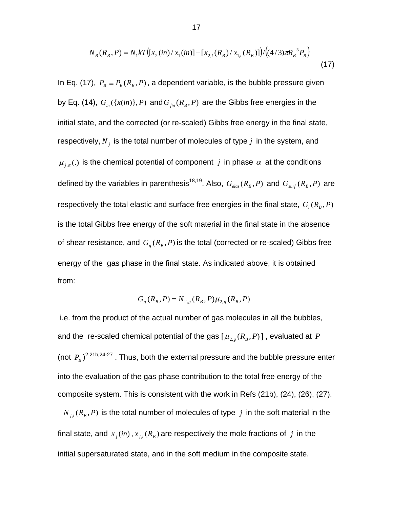$$
N_B(R_B, P) = N_1 k T ([x_2(in)/x_1(in)] - [x_{2,l}(R_B)/x_{1,l}(R_B)] / ((4/3)\pi R_B^{3} P_B)
$$
\n(17)

In Eq. (17),  $P_B \equiv P_B(R_B, P)$ , a dependent variable, is the bubble pressure given by Eq. (14),  $G_{in}(\lbrace x(in)\rbrace, P)$  and  $G_{fin}(R_B, P)$  are the Gibbs free energies in the initial state, and the corrected (or re-scaled) Gibbs free energy in the final state, respectively,  $N_i$  is the total number of molecules of type  $j$  in the system, and  $\mu_{j,\alpha}$  (.) is the chemical potential of component *j* in phase  $\alpha$  at the conditions defined by the variables in parenthesis<sup>18,19</sup>. Also,  $G_{elas}(R_B, P)$  and  $G_{surf}(R_B, P)$  are respectively the total elastic and surface free energies in the final state,  $G_i(R_B, P)$ is the total Gibbs free energy of the soft material in the final state in the absence of shear resistance, and  $G_{g}(R_{B}, P)$  is the total (corrected or re-scaled) Gibbs free energy of the gas phase in the final state. As indicated above, it is obtained from:

$$
G_g(R_B, P) = N_{2,g}(R_B, P)\mu_{2,g}(R_B, P)
$$

 i.e. from the product of the actual number of gas molecules in all the bubbles, and the re-scaled chemical potential of the gas  $[\mu_{2,e}(R_B, P)]$ , evaluated at P (not  $P_B$ )<sup>2,21b,24-27</sup>. Thus, both the external pressure and the bubble pressure enter into the evaluation of the gas phase contribution to the total free energy of the composite system. This is consistent with the work in Refs (21b), (24), (26), (27).

 $N_{i,l}(R_B, P)$  is the total number of molecules of type *j* in the soft material in the final state, and  $x_i(in)$ ,  $x_{i,l}(R_B)$  are respectively the mole fractions of *j* in the initial supersaturated state, and in the soft medium in the composite state.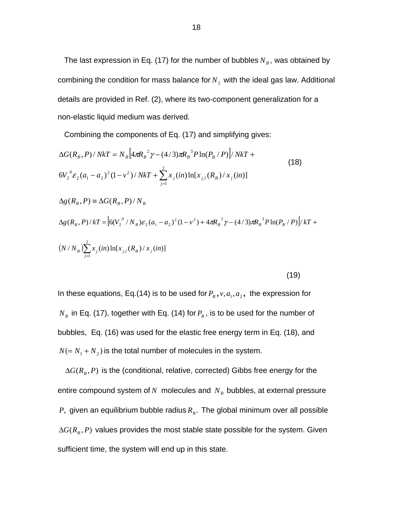The last expression in Eq. (17) for the number of bubbles  $N_B$ , was obtained by combining the condition for mass balance for  $N<sub>2</sub>$  with the ideal gas law. Additional details are provided in Ref. (2), where its two-component generalization for a non-elastic liquid medium was derived.

Combining the components of Eq. (17) and simplifying gives:

$$
\Delta G(R_B, P) / NkT = N_B \left[ 4\pi R_B^2 \gamma - (4/3)\pi R_B^3 P \ln(P_B / P) \right] / NkT +
$$
  
\n
$$
6V_2^0 \varepsilon_2 (a_1 - a_2)^2 (1 - v^2) / NkT + \sum_{j=1}^2 x_j (in) \ln[x_{j,l}(R_B) / x_j (in)]
$$
\n(18)

$$
\Delta g(R_B, P) \equiv \Delta G(R_B, P) / N_B
$$
  
\n
$$
\Delta g(R_B, P) / kT = \left[ 6(V_2^{0} / N_B) \varepsilon_2 (a_1 - a_2)^2 (1 - v^2) + 4\pi R_B^{2} \gamma - (4/3)\pi R_B^{3} P \ln(P_B / P) \right] / kT +
$$
  
\n
$$
(N / N_B) \sum_{j=1}^{2} x_j (in) \ln[x_{j,l}(R_B) / x_j (in)]
$$

$$
(19)
$$

In these equations, Eq.(14) is to be used for  $P_B$ ,  $v, a_1, a_2$ , the expression for  $N_B$  in Eq. (17), together with Eq. (14) for  $P_B$ , is to be used for the number of bubbles, Eq. (16) was used for the elastic free energy term in Eq. (18), and  $N (= N_1 + N_2)$  is the total number of molecules in the system.

 $\Delta G(R_{\rm B}, P)$  is the (conditional, relative, corrected) Gibbs free energy for the entire compound system of  $N$  molecules and  $N_B$  bubbles, at external pressure *P*, given an equilibrium bubble radius  $R<sub>B</sub>$ . The global minimum over all possible  $\Delta G(R_{\scriptscriptstyle R}, P)$  values provides the most stable state possible for the system. Given sufficient time, the system will end up in this state.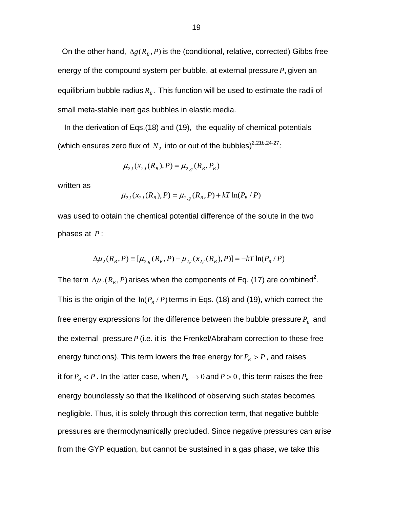On the other hand,  $\Delta g(R_B, P)$  is the (conditional, relative, corrected) Gibbs free energy of the compound system per bubble, at external pressure *P*, given an equilibrium bubble radius  $R<sub>B</sub>$ . This function will be used to estimate the radii of small meta-stable inert gas bubbles in elastic media.

 In the derivation of Eqs.(18) and (19), the equality of chemical potentials (which ensures zero flux of  $N_2$  into or out of the bubbles)<sup>2,21b,24-27</sup>:

$$
\mu_{2,l}(x_{2,l}(R_B), P) = \mu_{2,g}(R_B, P_B)
$$

written as

$$
\mu_{2,l}(x_{2,l}(R_B), P) = \mu_{2,g}(R_B, P) + kT \ln(P_B / P)
$$

was used to obtain the chemical potential difference of the solute in the two phases at *P* :

$$
\Delta \mu_2(R_B, P) \equiv [\mu_{2,g}(R_B, P) - \mu_{2,l}(x_{2,l}(R_B), P)] = -kT \ln(P_B / P)
$$

The term  $\Delta \mu_2(R_{\rm B}, P)$  arises when the components of Eq. (17) are combined<sup>2</sup>. This is the origin of the  $\ln(P_B / P)$  terms in Eqs. (18) and (19), which correct the free energy expressions for the difference between the bubble pressure  $P_B$  and the external pressure *P* (i.e. it is the Frenkel/Abraham correction to these free energy functions). This term lowers the free energy for  $P_B > P$ , and raises it for  $P_B < P$ . In the latter case, when  $P_B \to 0$  and  $P > 0$ , this term raises the free energy boundlessly so that the likelihood of observing such states becomes negligible. Thus, it is solely through this correction term, that negative bubble pressures are thermodynamically precluded. Since negative pressures can arise from the GYP equation, but cannot be sustained in a gas phase, we take this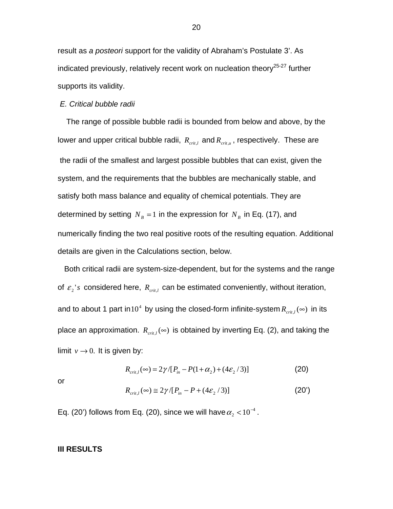result as *a posteori* support for the validity of Abraham's Postulate 3'. As indicated previously, relatively recent work on nucleation theory<sup>25-27</sup> further supports its validity.

#### *E. Critical bubble radii*

 The range of possible bubble radii is bounded from below and above, by the lower and upper critical bubble radii,  $R_{crit,l}$  and  $R_{crit,u}$ , respectively. These are the radii of the smallest and largest possible bubbles that can exist, given the system, and the requirements that the bubbles are mechanically stable, and satisfy both mass balance and equality of chemical potentials. They are determined by setting  $N_B = 1$  in the expression for  $N_B$  in Eq. (17), and numerically finding the two real positive roots of the resulting equation. Additional details are given in the Calculations section, below.

 Both critical radii are system-size-dependent, but for the systems and the range of  $\varepsilon_2$ 's considered here,  $R_{crit,l}$  can be estimated conveniently, without iteration, and to about 1 part in 10<sup>4</sup> by using the closed-form infinite-system  $R_{crit}(\infty)$  in its place an approximation.  $R_{crit}(\infty)$  is obtained by inverting Eq. (2), and taking the limit  $v \rightarrow 0$ . It is given by:

$$
R_{crit,1}(\infty) = 2\gamma / [P_{in} - P(1 + \alpha_2) + (4\epsilon_2 / 3)] \tag{20}
$$

or

$$
R_{\text{crit},l}(\infty) \cong 2\gamma/[P_{\text{in}} - P + (4\epsilon_2/3)] \tag{20'}
$$

Eq. (20') follows from Eq. (20), since we will have  $\alpha_{_2}$  < 10<sup>-4</sup> .

# **III RESULTS**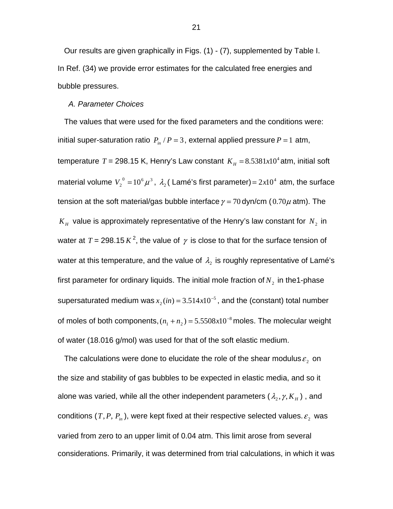Our results are given graphically in Figs. (1) - (7), supplemented by Table I. In Ref. (34) we provide error estimates for the calculated free energies and bubble pressures.

#### *A. Parameter Choices*

 The values that were used for the fixed parameters and the conditions were: initial super-saturation ratio  $P_{in}/P = 3$ , external applied pressure  $P = 1$  atm, temperature *T* = 298.15 K, Henry's Law constant  $K_H = 8.5381 \times 10^4$  atm, initial soft material volume  $V_2^0 = 10^6 \mu^3$ ,  $\lambda_2$  (Lamé's first parameter) =  $2x10^4$  atm, the surface tension at the soft material/gas bubble interface  $\gamma = 70$  dyn/cm (0.70 $\mu$  atm). The  $K_H$  value is approximately representative of the Henry's law constant for  $N_2$  in water at  $T = 298.15 K<sup>2</sup>$ , the value of  $\gamma$  is close to that for the surface tension of water at this temperature, and the value of  $\lambda_2$  is roughly representative of Lamé's first parameter for ordinary liquids. The initial mole fraction of  $N<sub>2</sub>$  in the1-phase supersaturated medium was  $x_2(in) = 3.514x10^{-5}$ , and the (constant) total number of moles of both components,  $(n_1 + n_2) = 5.5508 \times 10^{-8}$  moles. The molecular weight of water (18.016 g/mol) was used for that of the soft elastic medium.

The calculations were done to elucidate the role of the shear modulus  $\varepsilon_2$  on the size and stability of gas bubbles to be expected in elastic media, and so it alone was varied, while all the other independent parameters  $(\lambda_2, \gamma, K_H)$ , and conditions  $(T, P, P_{in})$ , were kept fixed at their respective selected values.  $\varepsilon_2$  was varied from zero to an upper limit of 0.04 atm. This limit arose from several considerations. Primarily, it was determined from trial calculations, in which it was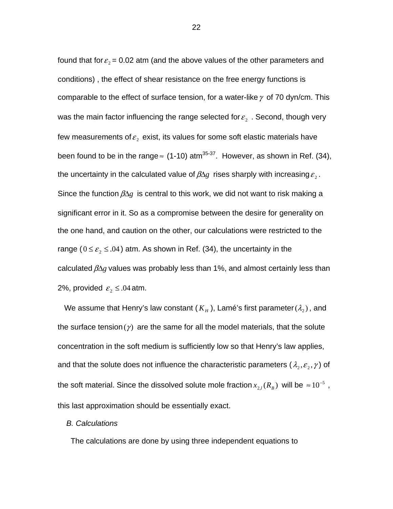found that for  $\varepsilon_2$  = 0.02 atm (and the above values of the other parameters and conditions) , the effect of shear resistance on the free energy functions is comparable to the effect of surface tension, for a water-like  $\gamma$  of 70 dyn/cm. This was the main factor influencing the range selected for  $\varepsilon_2$ . Second, though very few measurements of  $\varepsilon_2$  exist, its values for some soft elastic materials have been found to be in the range  $\approx$  (1-10) atm<sup>35-37</sup>. However, as shown in Ref. (34), the uncertainty in the calculated value of  $\beta \Delta g$  rises sharply with increasing  $\varepsilon$ ,. Since the function  $\beta \Delta g$  is central to this work, we did not want to risk making a significant error in it. So as a compromise between the desire for generality on the one hand, and caution on the other, our calculations were restricted to the range ( $0 \le \varepsilon_2 \le .04$ ) atm. As shown in Ref. (34), the uncertainty in the calculated βΔ*g* values was probably less than 1%, and almost certainly less than 2%, provided  $\varepsilon_2 \leq .04$  atm.

We assume that Henry's law constant  $(K_H)$ , Lamé's first parameter  $(\lambda_2)$ , and the surface tension  $(y)$  are the same for all the model materials, that the solute concentration in the soft medium is sufficiently low so that Henry's law applies, and that the solute does not influence the characteristic parameters ( $\lambda_2, \varepsilon_2, \gamma$ ) of the soft material. Since the dissolved solute mole fraction  $x_{2,l}$   $(R_B)$  will be  $\approx 10^{-5}$ , this last approximation should be essentially exact.

#### *B. Calculations*

The calculations are done by using three independent equations to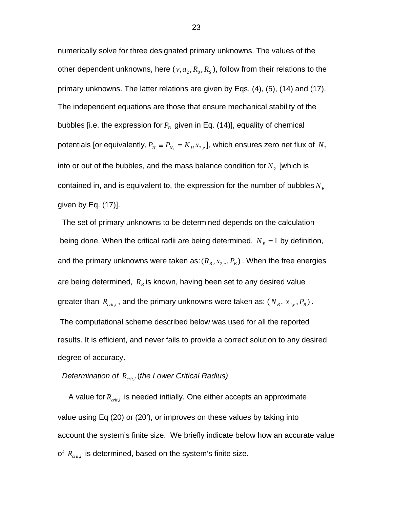numerically solve for three designated primary unknowns. The values of the other dependent unknowns, here  $(v, a_2, R_0, R_s)$ , follow from their relations to the primary unknowns. The latter relations are given by Eqs. (4), (5), (14) and (17). The independent equations are those that ensure mechanical stability of the bubbles [i.e. the expression for  $P_B$  given in Eq. (14)], equality of chemical potentials [or equivalently,  $P_H \equiv P_{N_2} = K_H x_{2,e}$ ], which ensures zero net flux of  $N_2$ into or out of the bubbles, and the mass balance condition for  $N_2$  [which is contained in, and is equivalent to, the expression for the number of bubbles  $N_B$ given by Eq. (17)].

 The set of primary unknowns to be determined depends on the calculation being done. When the critical radii are being determined,  $N_B = 1$  by definition, and the primary unknowns were taken as:  $(R_B, x_{2,e}, P_B)$ . When the free energies are being determined,  $R_B$  is known, having been set to any desired value greater than  $R_{crit,l}$ , and the primary unknowns were taken as:  $(N_B, x_{2,e}, P_B)$ . The computational scheme described below was used for all the reported results. It is efficient, and never fails to provide a correct solution to any desired

degree of accuracy.

# *Determination of Rcrit*,*<sup>l</sup>* (*the Lower Critical Radius)*

 A value for *Rcrit*,*l* is needed initially. One either accepts an approximate value using Eq (20) or (20'), or improves on these values by taking into account the system's finite size. We briefly indicate below how an accurate value of  $R_{crit}$  is determined, based on the system's finite size.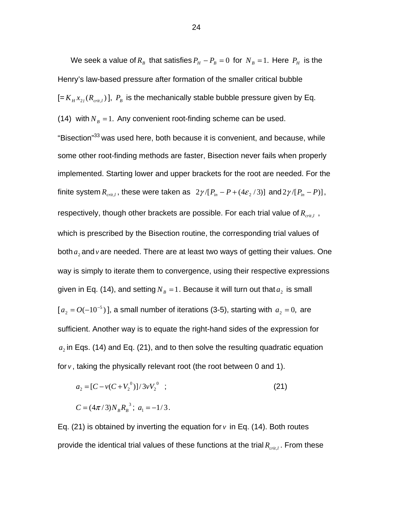We seek a value of  $R_B$  that satisfies  $P_H - P_B = 0$  for  $N_B = 1$ . Here  $P_H$  is the Henry's law-based pressure after formation of the smaller critical bubble  $[= K_H x_{2l} (R_{crit,l})]$ ,  $P_B$  is the mechanically stable bubble pressure given by Eq. (14) with  $N_B = 1$ . Any convenient root-finding scheme can be used. "Bisection"<sup>33</sup> was used here, both because it is convenient, and because, while some other root-finding methods are faster, Bisection never fails when properly implemented. Starting lower and upper brackets for the root are needed. For the finite system  $R_{crit,l}$ , these were taken as  $2\gamma/[P_{in} - P + (4\epsilon_2/3)]$  and  $2\gamma/[P_{in} - P]$ , respectively, though other brackets are possible. For each trial value of  $R_{crit,l}$ , which is prescribed by the Bisection routine, the corresponding trial values of both  $a_2$  and *v* are needed. There are at least two ways of getting their values. One way is simply to iterate them to convergence, using their respective expressions given in Eq. (14), and setting  $N_B = 1$ . Because it will turn out that  $a_2$  is small  $[a_2 = O(-10^{-5})]$  $a_2 = O(-10^{-5})$ ], a small number of iterations (3-5), starting with  $a_2 = 0$ , are sufficient. Another way is to equate the right-hand sides of the expression for  $a<sub>2</sub>$  in Eqs. (14) and Eq. (21), and to then solve the resulting quadratic equation for  $v$ , taking the physically relevant root (the root between 0 and 1).

$$
a_2 = [C - v(C + V_2^{0})]/3vV_2^{0};
$$
  
\n
$$
C = (4\pi/3)N_B R_B^{3}; a_1 = -1/3.
$$
\n(21)

Eq. (21) is obtained by inverting the equation for  $v$  in Eq. (14). Both routes provide the identical trial values of these functions at the trial  $R_{crit}$ . From these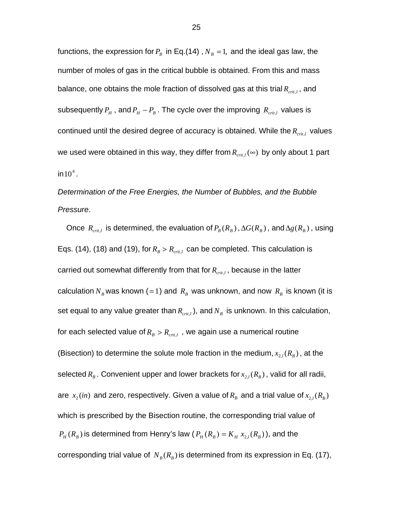functions, the expression for  $P_B$  in Eq.(14),  $N_B = 1$ , and the ideal gas law, the number of moles of gas in the critical bubble is obtained. From this and mass balance, one obtains the mole fraction of dissolved gas at this trial  $R_{crit}$ , and subsequently  $P_H$ , and  $P_H - P_B$ . The cycle over the improving  $R_{crit,l}$  values is continued until the desired degree of accuracy is obtained. While the  $R_{crit}$  values we used were obtained in this way, they differ from  $R_{crit}(\infty)$  by only about 1 part  $in 10<sup>4</sup>$ .

*Determination of the Free Energies, the Number of Bubbles, and the Bubble Pressure*.

Once  $R_{crit,l}$  is determined, the evaluation of  $P_B(R_B)$ ,  $\Delta G(R_B)$ , and  $\Delta g(R_B)$ , using Eqs. (14), (18) and (19), for  $R_B > R_{crit,l}$  can be completed. This calculation is carried out somewhat differently from that for  $R_{crit,l}$ , because in the latter calculation  $N_B$  was known (=1) and  $R_B$  was unknown, and now  $R_B$  is known (it is set equal to any value greater than  $R_{crit}$ , and  $N_B$  is unknown. In this calculation, for each selected value of  $R_B > R_{crit}$ , we again use a numerical routine (Bisection) to determine the solute mole fraction in the medium,  $x_{2,l}(R_B)$ , at the selected  $R_B$ . Convenient upper and lower brackets for  $x_{2,l}(R_B)$ , valid for all radii, are  $x_2(in)$  and zero, respectively. Given a value of  $R_B$  and a trial value of  $x_{2i}(R_B)$ which is prescribed by the Bisection routine, the corresponding trial value of  $P_H(R_B)$  is determined from Henry's law  $(P_H(R_B) = K_H x_{2I}(R_B))$ , and the corresponding trial value of  $N_B(R_B)$  is determined from its expression in Eq. (17),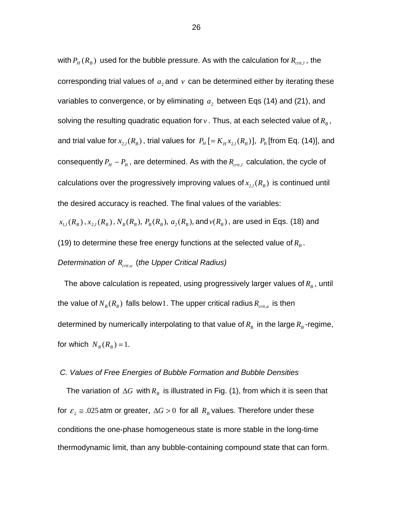with  $P_H(R_B)$  used for the bubble pressure. As with the calculation for  $R_{crit,l}$ , the corresponding trial values of  $a_2$  and  $v$  can be determined either by iterating these variables to convergence, or by eliminating  $a_2$  between Eqs (14) and (21), and solving the resulting quadratic equation for  $v$ . Thus, at each selected value of  $R_B$ , and trial value for  $x_{2,l}(R_B)$ , trial values for  $P_H$  [=  $K_H x_{2,l}(R_B)$ ],  $P_B$  [from Eq. (14)], and consequently  $P_H - P_B$ , are determined. As with the  $R_{crit,l}$  calculation, the cycle of calculations over the progressively improving values of  $x_{2,l}(R_B)$  is continued until the desired accuracy is reached. The final values of the variables:

 $x_{1}$ ,  $(R_B)$ ,  $x_{2}$ ,  $(R_B)$ ,  $N_B(R_B)$ ,  $P_B(R_B)$ ,  $a_2(R_B)$ , and  $v(R_B)$ , are used in Eqs. (18) and (19) to determine these free energy functions at the selected value of  $R_B$ . *Determination of R<sub>crit,u</sub> (the Upper Critical Radius)* 

The above calculation is repeated, using progressively larger values of  $R<sub>B</sub>$ , until the value of  $N_B(R_B)$  falls below1. The upper critical radius  $R_{crit,u}$  is then determined by numerically interpolating to that value of  $R_B$  in the large  $R_B$ -regime, for which  $N_B(R_B) = 1$ .

## *C. Values of Free Energies of Bubble Formation and Bubble Densities*

The variation of  $\Delta G$  with  $R_B$  is illustrated in Fig. (1), from which it is seen that for  $\varepsilon_2 \approx 0.025$  atm or greater,  $\Delta G > 0$  for all  $R_B$  values. Therefore under these conditions the one-phase homogeneous state is more stable in the long-time thermodynamic limit, than any bubble-containing compound state that can form.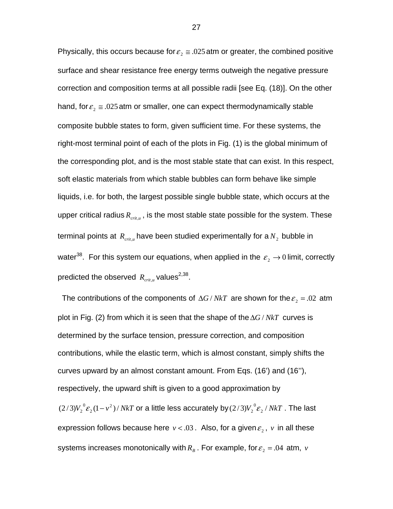Physically, this occurs because for  $\varepsilon_2 \approx .025$  atm or greater, the combined positive surface and shear resistance free energy terms outweigh the negative pressure correction and composition terms at all possible radii [see Eq. (18)]. On the other hand, for  $\varepsilon_2 \approx 0.025$  atm or smaller, one can expect thermodynamically stable composite bubble states to form, given sufficient time. For these systems, the right-most terminal point of each of the plots in Fig. (1) is the global minimum of the corresponding plot, and is the most stable state that can exist. In this respect, soft elastic materials from which stable bubbles can form behave like simple liquids, i.e. for both, the largest possible single bubble state, which occurs at the upper critical radius  $R_{crit}$ , is the most stable state possible for the system. These terminal points at  $R_{crit,u}$  have been studied experimentally for a  $N_2$  bubble in water<sup>38</sup>. For this system our equations, when applied in the  $\varepsilon_2 \to 0$  limit, correctly predicted the observed  $R_{crit}$ <sup>*u*</sup> values<sup>2,38</sup>.

The contributions of the components of  $\Delta G/NkT$  are shown for the  $\varepsilon_2 = .02$  atm plot in Fig. (2) from which it is seen that the shape of theΔ*G* / *NkT* curves is determined by the surface tension, pressure correction, and composition contributions, while the elastic term, which is almost constant, simply shifts the curves upward by an almost constant amount. From Eqs. (16') and (16''), respectively, the upward shift is given to a good approximation by  $(2/3)V_2^{0} \varepsilon_2 (1 - v^2) / NkT$  $\frac{1}{2}^0\varepsilon_2(1-v^2)/\mathit{NkT}$  or a little less accurately by  $(2/3)V_2^{~0}\varepsilon_2/\mathit{NkT}$  . The last expression follows because here  $v < .03$ . Also, for a given  $\varepsilon$ ,  $v$  in all these systems increases monotonically with  $R_B$ . For example, for  $\varepsilon_2 = .04$  atm, *v*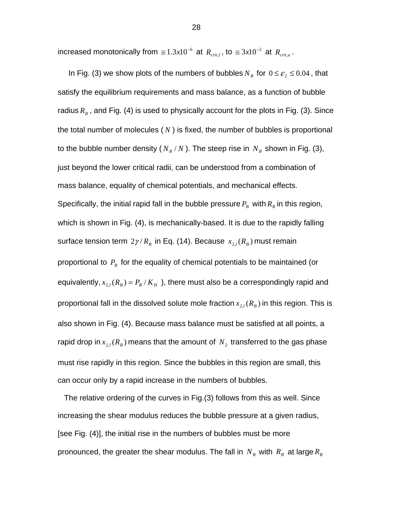increased monotonically from  $\approx 1.3 x 10^{-6}$  at  $R_{crit,l}$ , to  $\approx 3 x 10^{-2}$  at  $R_{crit,u}$ .

In Fig. (3) we show plots of the numbers of bubbles  $N_B$  for  $0 \le \varepsilon_2 \le 0.04$ , that satisfy the equilibrium requirements and mass balance, as a function of bubble radius  $R<sub>B</sub>$ , and Fig. (4) is used to physically account for the plots in Fig. (3). Since the total number of molecules ( *N* ) is fixed, the number of bubbles is proportional to the bubble number density  $(N_B/N)$ . The steep rise in  $N_B$  shown in Fig. (3), just beyond the lower critical radii, can be understood from a combination of mass balance, equality of chemical potentials, and mechanical effects. Specifically, the initial rapid fall in the bubble pressure  $P_B$  with  $R_B$  in this region, which is shown in Fig. (4), is mechanically-based. It is due to the rapidly falling surface tension term  $2\gamma/R_B$  in Eq. (14). Because  $x_{2l}(R_B)$  must remain proportional to  $P_B$  for the equality of chemical potentials to be maintained (or equivalently,  $x_{2,l}(R_B) = P_B / K_H$ , there must also be a correspondingly rapid and proportional fall in the dissolved solute mole fraction  $x_{2,l}(R_B)$  in this region. This is also shown in Fig. (4). Because mass balance must be satisfied at all points, a rapid drop in  $x_{2l}$   $(R_B)$  means that the amount of  $N_2$  transferred to the gas phase must rise rapidly in this region. Since the bubbles in this region are small, this can occur only by a rapid increase in the numbers of bubbles.

 The relative ordering of the curves in Fig.(3) follows from this as well. Since increasing the shear modulus reduces the bubble pressure at a given radius, [see Fig. (4)], the initial rise in the numbers of bubbles must be more pronounced, the greater the shear modulus. The fall in  $N_B$  with  $R_B$  at large  $R_B$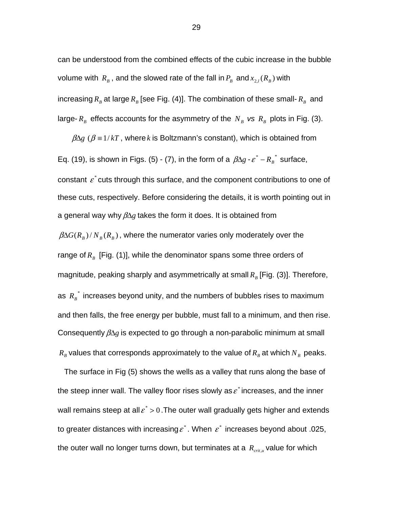can be understood from the combined effects of the cubic increase in the bubble volume with  $R_B$ , and the slowed rate of the fall in  $P_B$  and  $x_{2,l}$   $(R_B)$  with increasing  $R_B$  at large  $R_B$  [see Fig. (4)]. The combination of these small-  $R_B$  and large-  $R_B$  effects accounts for the asymmetry of the  $N_B$  *vs*  $R_B$  plots in Fig. (3).

 $\beta \Delta g$  ( $\beta = 1/kT$ , where *k* is Boltzmann's constant), which is obtained from Eq. (19), is shown in Figs. (5) - (7), in the form of a  $\beta \Delta g - \varepsilon^* - R_B^*$  surface, constant  $\epsilon^*$  cuts through this surface, and the component contributions to one of these cuts, respectively. Before considering the details, it is worth pointing out in a general way why βΔ*g* takes the form it does. It is obtained from  $\beta \Delta G(R_B)/N_B(R_B)$ , where the numerator varies only moderately over the range of  $R_B$  [Fig. (1)], while the denominator spans some three orders of magnitude, peaking sharply and asymmetrically at small  $R<sub>B</sub>$  [Fig. (3)]. Therefore, as  $R_B^*$  increases beyond unity, and the numbers of bubbles rises to maximum and then falls, the free energy per bubble, must fall to a minimum, and then rise. Consequently βΔ*g* is expected to go through a non-parabolic minimum at small  $R_B$  values that corresponds approximately to the value of  $R_B$  at which  $N_B$  peaks.

 The surface in Fig (5) shows the wells as a valley that runs along the base of the steep inner wall. The valley floor rises slowly as  $\varepsilon^*$  increases, and the inner wall remains steep at all  $\varepsilon^* > 0$ . The outer wall gradually gets higher and extends to greater distances with increasing  $\varepsilon^*$ . When  $\varepsilon^*$  increases beyond about .025, the outer wall no longer turns down, but terminates at a  $R_{crit,u}$  value for which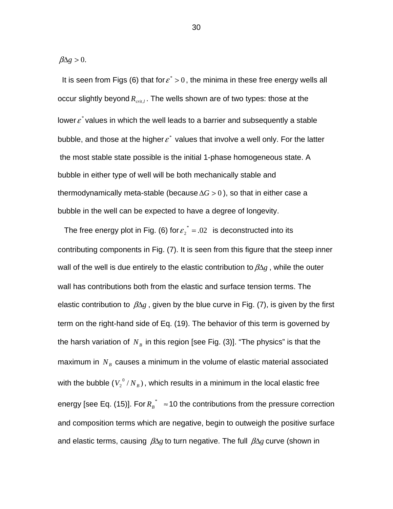$\beta \Delta g > 0$ .

It is seen from Figs (6) that for  $\varepsilon^* > 0$ , the minima in these free energy wells all occur slightly beyond  $R_{crit}$ . The wells shown are of two types: those at the lower  $\varepsilon^*$  values in which the well leads to a barrier and subsequently a stable bubble, and those at the higher  $\varepsilon^*$  values that involve a well only. For the latter the most stable state possible is the initial 1-phase homogeneous state. A bubble in either type of well will be both mechanically stable and thermodynamically meta-stable (because  $\Delta G > 0$ ), so that in either case a bubble in the well can be expected to have a degree of longevity.

The free energy plot in Fig. (6) for  $\varepsilon$ <sup>\*</sup> = .02 is deconstructed into its contributing components in Fig. (7). It is seen from this figure that the steep inner wall of the well is due entirely to the elastic contribution to  $\beta \Delta g$ , while the outer wall has contributions both from the elastic and surface tension terms. The elastic contribution to  $\beta \Delta g$ , given by the blue curve in Fig. (7), is given by the first term on the right-hand side of Eq. (19). The behavior of this term is governed by the harsh variation of  $N_B$  in this region [see Fig. (3)]. "The physics" is that the maximum in  $N_B$  causes a minimum in the volume of elastic material associated with the bubble  $(V_2^0/N_B)$ , which results in a minimum in the local elastic free energy [see Eq. (15)]. For  $R_B^* \approx 10$  the contributions from the pressure correction and composition terms which are negative, begin to outweigh the positive surface and elastic terms, causing βΔ*g* to turn negative. The full βΔ*g* curve (shown in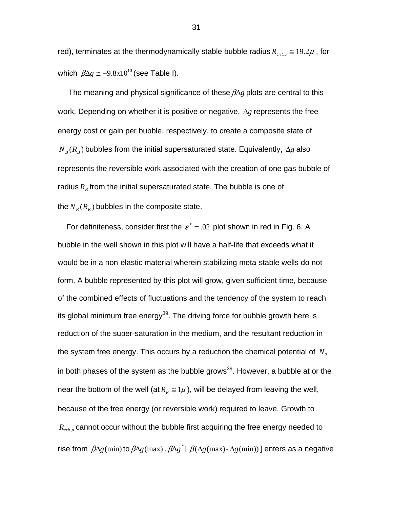red), terminates at the thermodynamically stable bubble radius  $R_{crit,u} \approx 19.2 \mu$ , for which  $\beta \Delta g \approx -9.8x10^{10}$  (see Table I).

 The meaning and physical significance of these βΔ*g* plots are central to this work. Depending on whether it is positive or negative, Δ*g* represents the free energy cost or gain per bubble, respectively, to create a composite state of  $N_B(R_B)$  bubbles from the initial supersaturated state. Equivalently,  $\Delta g$  also represents the reversible work associated with the creation of one gas bubble of radius  $R<sub>B</sub>$  from the initial supersaturated state. The bubble is one of the  $N_B(R_B)$  bubbles in the composite state.

For definiteness, consider first the  $\varepsilon^* = 0.02$  plot shown in red in Fig. 6. A bubble in the well shown in this plot will have a half-life that exceeds what it would be in a non-elastic material wherein stabilizing meta-stable wells do not form. A bubble represented by this plot will grow, given sufficient time, because of the combined effects of fluctuations and the tendency of the system to reach its global minimum free energy<sup>39</sup>. The driving force for bubble growth here is reduction of the super-saturation in the medium, and the resultant reduction in the system free energy. This occurs by a reduction the chemical potential of  $N_2$ in both phases of the system as the bubble grows<sup>39</sup>. However, a bubble at or the near the bottom of the well (at  $R_B \cong 1\mu$ ), will be delayed from leaving the well, because of the free energy (or reversible work) required to leave. Growth to *R<sub>crit</sub>*, cannot occur without the bubble first acquiring the free energy needed to rise from  $\beta\Delta g$ (min) to  $\beta\Delta g$ (max).  $\beta\Delta g^*$ [ $\beta(\Delta g$ (max) $-\Delta g$ (min))] enters as a negative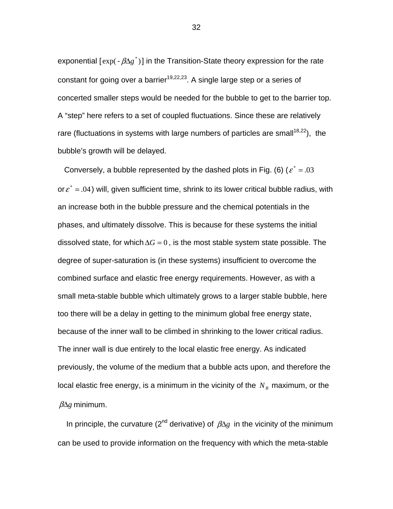exponential  $[exp(-\beta \Delta g^*)]$  in the Transition-State theory expression for the rate constant for going over a barrier<sup>19,22,23</sup>. A single large step or a series of concerted smaller steps would be needed for the bubble to get to the barrier top. A "step" here refers to a set of coupled fluctuations. Since these are relatively rare (fluctuations in systems with large numbers of particles are small<sup>18,22</sup>), the bubble's growth will be delayed.

Conversely, a bubble represented by the dashed plots in Fig. (6) ( $\varepsilon^* = .03$ or  $\varepsilon^* = .04$ ) will, given sufficient time, shrink to its lower critical bubble radius, with an increase both in the bubble pressure and the chemical potentials in the phases, and ultimately dissolve. This is because for these systems the initial dissolved state, for which  $\Delta G = 0$ , is the most stable system state possible. The degree of super-saturation is (in these systems) insufficient to overcome the combined surface and elastic free energy requirements. However, as with a small meta-stable bubble which ultimately grows to a larger stable bubble, here too there will be a delay in getting to the minimum global free energy state, because of the inner wall to be climbed in shrinking to the lower critical radius. The inner wall is due entirely to the local elastic free energy. As indicated previously, the volume of the medium that a bubble acts upon, and therefore the local elastic free energy, is a minimum in the vicinity of the  $N_B$  maximum, or the βΔ*g* minimum.

In principle, the curvature ( $2^{nd}$  derivative) of  $\beta \Delta g$  in the vicinity of the minimum can be used to provide information on the frequency with which the meta-stable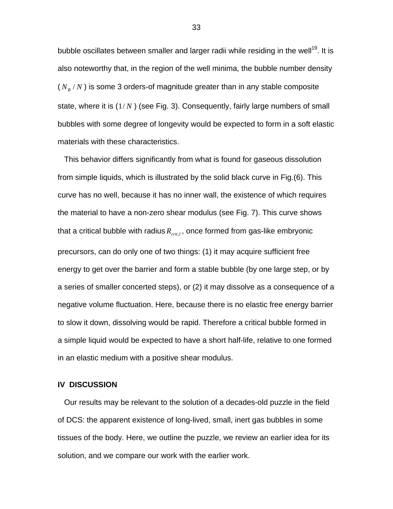bubble oscillates between smaller and larger radii while residing in the well<sup>19</sup>. It is also noteworthy that, in the region of the well minima, the bubble number density  $(N_B/N)$  is some 3 orders-of magnitude greater than in any stable composite state, where it is (1/ *N* ) (see Fig. 3). Consequently, fairly large numbers of small bubbles with some degree of longevity would be expected to form in a soft elastic materials with these characteristics.

 This behavior differs significantly from what is found for gaseous dissolution from simple liquids, which is illustrated by the solid black curve in Fig.(6). This curve has no well, because it has no inner wall, the existence of which requires the material to have a non-zero shear modulus (see Fig. 7). This curve shows that a critical bubble with radius  $R_{crit}$ , once formed from gas-like embryonic precursors, can do only one of two things: (1) it may acquire sufficient free energy to get over the barrier and form a stable bubble (by one large step, or by a series of smaller concerted steps), or (2) it may dissolve as a consequence of a negative volume fluctuation. Here, because there is no elastic free energy barrier to slow it down, dissolving would be rapid. Therefore a critical bubble formed in a simple liquid would be expected to have a short half-life, relative to one formed in an elastic medium with a positive shear modulus.

## **IV DISCUSSION**

Our results may be relevant to the solution of a decades-old puzzle in the field of DCS: the apparent existence of long-lived, small, inert gas bubbles in some tissues of the body. Here, we outline the puzzle, we review an earlier idea for its solution, and we compare our work with the earlier work.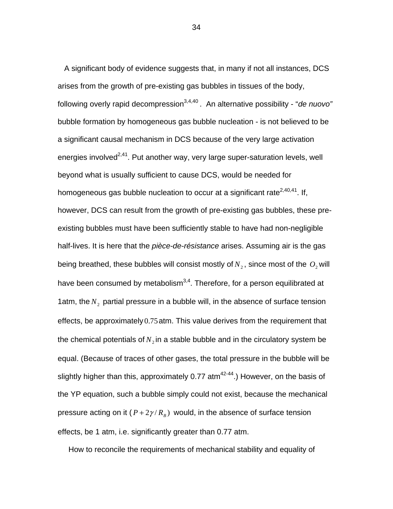A significant body of evidence suggests that, in many if not all instances, DCS arises from the growth of pre-existing gas bubbles in tissues of the body, following overly rapid decompression<sup>3,4,40</sup>. An alternative possibility - "*de nuovo"* bubble formation by homogeneous gas bubble nucleation - is not believed to be a significant causal mechanism in DCS because of the very large activation energies involved<sup>2,41</sup>. Put another way, very large super-saturation levels, well beyond what is usually sufficient to cause DCS, would be needed for homogeneous gas bubble nucleation to occur at a significant rate<sup>2,40,41</sup>. If, however, DCS can result from the growth of pre-existing gas bubbles, these preexisting bubbles must have been sufficiently stable to have had non-negligible half-lives. It is here that the *pièce-de-résistance* arises. Assuming air is the gas being breathed, these bubbles will consist mostly of  $N_2$ , since most of the  $O_2$  will have been consumed by metabolism<sup>3,4</sup>. Therefore, for a person equilibrated at 1atm, the  $N_2$  partial pressure in a bubble will, in the absence of surface tension effects, be approximately 0.75atm. This value derives from the requirement that the chemical potentials of  $N<sub>2</sub>$  in a stable bubble and in the circulatory system be equal. (Because of traces of other gases, the total pressure in the bubble will be slightly higher than this, approximately  $0.77$  atm<sup>42-44</sup>.) However, on the basis of the YP equation, such a bubble simply could not exist, because the mechanical pressure acting on it  $(P + 2\gamma/R_B)$  would, in the absence of surface tension effects, be 1 atm, i.e. significantly greater than 0.77 atm.

How to reconcile the requirements of mechanical stability and equality of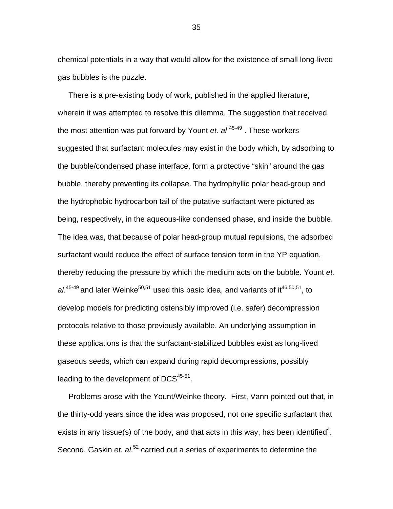chemical potentials in a way that would allow for the existence of small long-lived gas bubbles is the puzzle.

 There is a pre-existing body of work, published in the applied literature, wherein it was attempted to resolve this dilemma. The suggestion that received the most attention was put forward by Yount *et. al* 45-49 . These workers suggested that surfactant molecules may exist in the body which, by adsorbing to the bubble/condensed phase interface, form a protective "skin" around the gas bubble, thereby preventing its collapse. The hydrophyllic polar head-group and the hydrophobic hydrocarbon tail of the putative surfactant were pictured as being, respectively, in the aqueous-like condensed phase, and inside the bubble. The idea was, that because of polar head-group mutual repulsions, the adsorbed surfactant would reduce the effect of surface tension term in the YP equation, thereby reducing the pressure by which the medium acts on the bubble. Yount *et.*  al.<sup>45-49</sup> and later Weinke<sup>50,51</sup> used this basic idea, and variants of it<sup>46,50,51</sup>, to develop models for predicting ostensibly improved (i.e. safer) decompression protocols relative to those previously available. An underlying assumption in these applications is that the surfactant-stabilized bubbles exist as long-lived gaseous seeds, which can expand during rapid decompressions, possibly leading to the development of DCS<sup>45-51</sup>.

 Problems arose with the Yount/Weinke theory. First, Vann pointed out that, in the thirty-odd years since the idea was proposed, not one specific surfactant that exists in any tissue(s) of the body, and that acts in this way, has been identified<sup>4</sup>. Second, Gaskin *et. al.*<sup>52</sup> carried out a series of experiments to determine the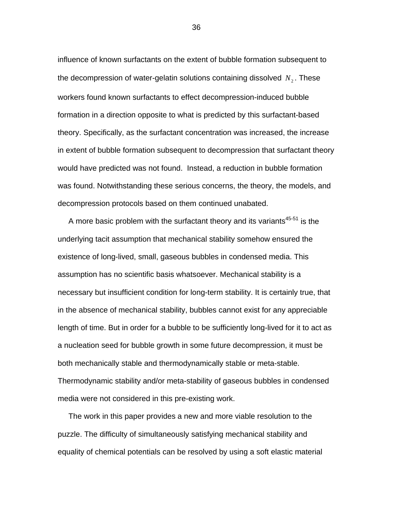influence of known surfactants on the extent of bubble formation subsequent to the decompression of water-gelatin solutions containing dissolved  $N<sub>2</sub>$ . These workers found known surfactants to effect decompression-induced bubble formation in a direction opposite to what is predicted by this surfactant-based theory. Specifically, as the surfactant concentration was increased, the increase in extent of bubble formation subsequent to decompression that surfactant theory would have predicted was not found. Instead, a reduction in bubble formation was found. Notwithstanding these serious concerns, the theory, the models, and decompression protocols based on them continued unabated.

A more basic problem with the surfactant theory and its variants $45-51$  is the underlying tacit assumption that mechanical stability somehow ensured the existence of long-lived, small, gaseous bubbles in condensed media. This assumption has no scientific basis whatsoever. Mechanical stability is a necessary but insufficient condition for long-term stability. It is certainly true, that in the absence of mechanical stability, bubbles cannot exist for any appreciable length of time. But in order for a bubble to be sufficiently long-lived for it to act as a nucleation seed for bubble growth in some future decompression, it must be both mechanically stable and thermodynamically stable or meta-stable. Thermodynamic stability and/or meta-stability of gaseous bubbles in condensed media were not considered in this pre-existing work.

 The work in this paper provides a new and more viable resolution to the puzzle. The difficulty of simultaneously satisfying mechanical stability and equality of chemical potentials can be resolved by using a soft elastic material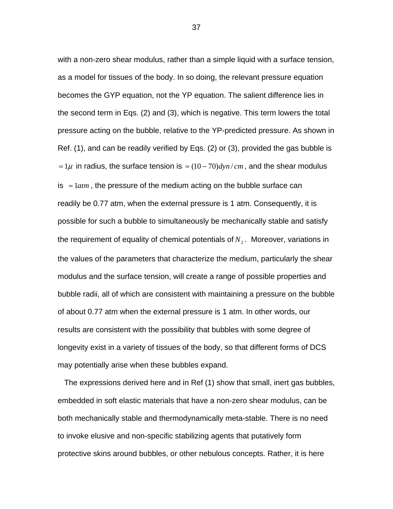with a non-zero shear modulus, rather than a simple liquid with a surface tension, as a model for tissues of the body. In so doing, the relevant pressure equation becomes the GYP equation, not the YP equation. The salient difference lies in the second term in Eqs. (2) and (3), which is negative. This term lowers the total pressure acting on the bubble, relative to the YP-predicted pressure. As shown in Ref. (1), and can be readily verified by Eqs. (2) or (3), provided the gas bubble is  $\approx$  1 $\mu$  in radius, the surface tension is  $\approx$  (10 – 70)*dyn* / *cm*, and the shear modulus is ≈ 1*atm* , the pressure of the medium acting on the bubble surface can readily be 0.77 atm, when the external pressure is 1 atm. Consequently, it is possible for such a bubble to simultaneously be mechanically stable and satisfy the requirement of equality of chemical potentials of  $N<sub>2</sub>$ . Moreover, variations in the values of the parameters that characterize the medium, particularly the shear modulus and the surface tension, will create a range of possible properties and bubble radii, all of which are consistent with maintaining a pressure on the bubble of about 0.77 atm when the external pressure is 1 atm. In other words, our results are consistent with the possibility that bubbles with some degree of longevity exist in a variety of tissues of the body, so that different forms of DCS may potentially arise when these bubbles expand.

 The expressions derived here and in Ref (1) show that small, inert gas bubbles, embedded in soft elastic materials that have a non-zero shear modulus, can be both mechanically stable and thermodynamically meta-stable. There is no need to invoke elusive and non-specific stabilizing agents that putatively form protective skins around bubbles, or other nebulous concepts. Rather, it is here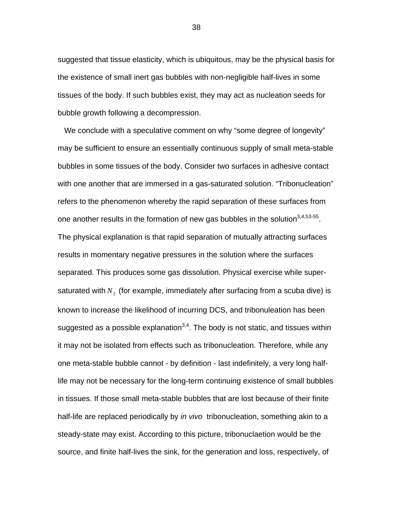suggested that tissue elasticity, which is ubiquitous, may be the physical basis for the existence of small inert gas bubbles with non-negligible half-lives in some tissues of the body. If such bubbles exist, they may act as nucleation seeds for bubble growth following a decompression.

 We conclude with a speculative comment on why "some degree of longevity" may be sufficient to ensure an essentially continuous supply of small meta-stable bubbles in some tissues of the body. Consider two surfaces in adhesive contact with one another that are immersed in a gas-saturated solution. "Tribonucleation" refers to the phenomenon whereby the rapid separation of these surfaces from one another results in the formation of new gas bubbles in the solution  $3,4,53.55$ . The physical explanation is that rapid separation of mutually attracting surfaces results in momentary negative pressures in the solution where the surfaces separated. This produces some gas dissolution. Physical exercise while supersaturated with  $N<sub>2</sub>$  (for example, immediately after surfacing from a scuba dive) is known to increase the likelihood of incurring DCS, and tribonuleation has been suggested as a possible explanation<sup>3,4</sup>. The body is not static, and tissues within it may not be isolated from effects such as tribonucleation. Therefore, while any one meta-stable bubble cannot - by definition - last indefinitely, a very long halflife may not be necessary for the long-term continuing existence of small bubbles in tissues. If those small meta-stable bubbles that are lost because of their finite half-life are replaced periodically by *in vivo* tribonucleation, something akin to a steady-state may exist. According to this picture, tribonuclaetion would be the source, and finite half-lives the sink, for the generation and loss, respectively, of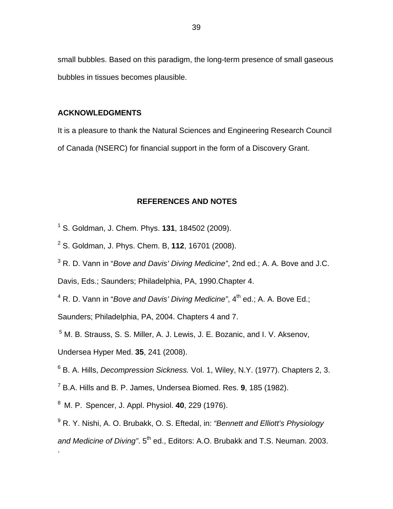small bubbles. Based on this paradigm, the long-term presence of small gaseous bubbles in tissues becomes plausible.

## **ACKNOWLEDGMENTS**

It is a pleasure to thank the Natural Sciences and Engineering Research Council of Canada (NSERC) for financial support in the form of a Discovery Grant.

# **REFERENCES AND NOTES**

- 1 S. Goldman, J. Chem. Phys. **131**, 184502 (2009).
- 2 S. Goldman, J. Phys. Chem. B, **112**, 16701 (2008).
- 3 R. D. Vann in "*Bove and Davis' Diving Medicine"*, 2nd ed.; A. A. Bove and J.C.

Davis, Eds.; Saunders; Philadelphia, PA, 1990.Chapter 4.

<sup>4</sup> R. D. Vann in "*Bove and Davis' Diving Medicine"*, 4<sup>th</sup> ed.; A. A. Bove Ed.;

Saunders; Philadelphia, PA, 2004. Chapters 4 and 7.

5 M. B. Strauss, S. S. Miller, A. J. Lewis, J. E. Bozanic, and I. V. Aksenov,

Undersea Hyper Med. **35**, 241 (2008).

.

6 B. A. Hills, *Decompression Sickness.* Vol. 1, Wiley, N.Y. (1977). Chapters 2, 3.

7 B.A. Hills and B. P. James, Undersea Biomed. Res. **9**, 185 (1982).

8 M. P. Spencer, J. Appl. Physiol. **40**, 229 (1976).

9 R. Y. Nishi, A. O. Brubakk, O. S. Eftedal, in: *"Bennett and Elliott's Physiology*  and Medicine of Diving". 5<sup>th</sup> ed., Editors: A.O. Brubakk and T.S. Neuman. 2003.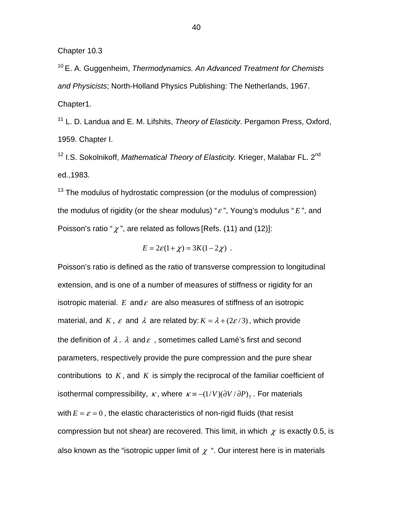Chapter 10.3

10 E. A. Guggenheim, *Thermodynamics. An Advanced Treatment for Chemists and Physicists*; North-Holland Physics Publishing: The Netherlands, 1967. Chapter1.

11 L. D. Landua and E. M. Lifshits, *Theory of Elasticity*. Pergamon Press, Oxford, 1959. Chapter I.

<sup>12</sup> I.S. Sokolnikoff, *Mathematical Theory of Elasticity*. Krieger, Malabar FL. 2<sup>nd</sup> ed.,1983.

 $13$  The modulus of hydrostatic compression (or the modulus of compression) the modulus of rigidity (or the shear modulus) "<sup>ε</sup> ", Young's modulus " *E* ", and Poisson's ratio " $\chi$ ", are related as follows [Refs. (11) and (12)]:

$$
E = 2\varepsilon(1+\chi) = 3K(1-2\chi) .
$$

Poisson's ratio is defined as the ratio of transverse compression to longitudinal extension, and is one of a number of measures of stiffness or rigidity for an isotropic material.  $E$  and  $\varepsilon$  are also measures of stiffness of an isotropic material, and *K*,  $\varepsilon$  and  $\lambda$  are related by:  $K = \lambda + (2\varepsilon/3)$ , which provide the definition of  $\lambda$ .  $\lambda$  and  $\varepsilon$ , sometimes called Lamé's first and second parameters, respectively provide the pure compression and the pure shear contributions to *K* , and *K* is simply the reciprocal of the familiar coefficient of isothermal compressibility,  $\kappa$ , where  $\kappa \equiv -(1/V)(\partial V/\partial P)_T$ . For materials with  $E = \varepsilon = 0$ , the elastic characteristics of non-rigid fluids (that resist compression but not shear) are recovered. This limit, in which  $\chi$  is exactly 0.5, is also known as the "isotropic upper limit of  $\chi$ ". Our interest here is in materials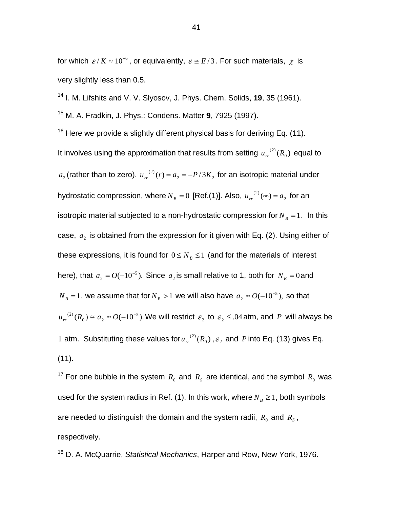for which  $\epsilon/K \approx 10^{-6}$ , or equivalently,  $\epsilon \approx E/3$ . For such materials,  $\chi$  is very slightly less than 0.5.

14 I. M. Lifshits and V. V. Slyosov, J. Phys. Chem. Solids, **19**, 35 (1961). 15 M. A. Fradkin, J. Phys.: Condens. Matter **9**, 7925 (1997).

 $16$  Here we provide a slightly different physical basis for deriving Eq. (11). It involves using the approximation that results from setting  $u_{rr}^{(2)}(R_{0})$  equal to  $a_2$  (rather than to zero).  $u_{rr}^{(2)}(r) = a_2 = -P/3K_2$  for an isotropic material under hydrostatic compression, where  $N_B = 0$  [Ref.(1)]. Also,  $u_{rr}^{(2)}(\infty) = a_2$  for an isotropic material subjected to a non-hydrostatic compression for  $N_B = 1$ . In this case,  $a_2$  is obtained from the expression for it given with Eq. (2). Using either of these expressions, it is found for  $0 \leq N_B \leq 1$  (and for the materials of interest here), that  $a_2 = O(-10^{-5})$ . Since  $a_2$  is small relative to 1, both for  $N_B = 0$  and  $N_B = 1$ , we assume that for  $N_B > 1$  we will also have  $a_2 \approx O(-10^{-5})$ , so that  $u_{rr}^{(2)}(R_0) \cong a_2 \approx O(-10^{-5})$ . We will restrict  $\varepsilon_2$  to  $\varepsilon_2 \leq .04$  atm, and P will always be 1 atm. Substituting these values for  $u_{rr}^{(2)}(R_0)$ ,  $\varepsilon_2$  and P into Eq. (13) gives Eq. (11).

<sup>17</sup> For one bubble in the system  $R_0$  and  $R_s$  are identical, and the symbol  $R_0$  was used for the system radius in Ref. (1). In this work, where  $N_B \geq 1$ , both symbols are needed to distinguish the domain and the system radii,  $R_0$  and  $R_s$ , respectively.

18 D. A. McQuarrie, *Statistical Mechanics*, Harper and Row, New York, 1976.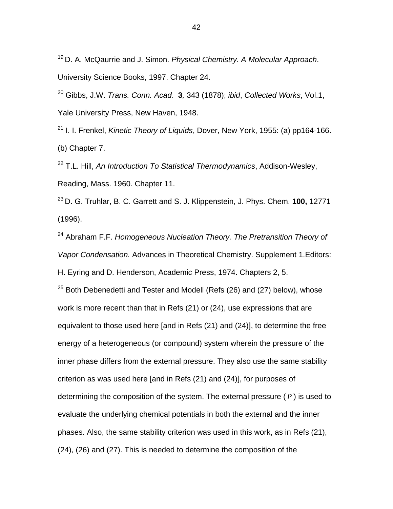19 D. A. McQaurrie and J. Simon. *Physical Chemistry. A Molecular Approach*. University Science Books, 1997. Chapter 24.

20 Gibbs, J.W. *Trans. Conn. Acad*. **3***,* 343 (1878); *ibid*, *Collected Works*, Vol.1, Yale University Press, New Haven, 1948.

21 I. I. Frenkel, *Kinetic Theory of Liquids*, Dover, New York, 1955: (a) pp164-166. (b) Chapter 7.

22 T.L. Hill, *An Introduction To Statistical Thermodynamics*, Addison-Wesley, Reading, Mass. 1960. Chapter 11.

23 D. G. Truhlar, B. C. Garrett and S. J. Klippenstein, J. Phys. Chem. **100,** 12771 (1996).

24 Abraham F.F. *Homogeneous Nucleation Theory. The Pretransition Theory of Vapor Condensation.* Advances in Theoretical Chemistry. Supplement 1.Editors:

H. Eyring and D. Henderson, Academic Press, 1974. Chapters 2, 5.

 $25$  Both Debenedetti and Tester and Modell (Refs (26) and (27) below), whose work is more recent than that in Refs (21) or (24), use expressions that are equivalent to those used here [and in Refs (21) and (24)], to determine the free energy of a heterogeneous (or compound) system wherein the pressure of the inner phase differs from the external pressure. They also use the same stability criterion as was used here [and in Refs (21) and (24)], for purposes of determining the composition of the system. The external pressure ( *P* ) is used to evaluate the underlying chemical potentials in both the external and the inner phases. Also, the same stability criterion was used in this work, as in Refs (21), (24), (26) and (27). This is needed to determine the composition of the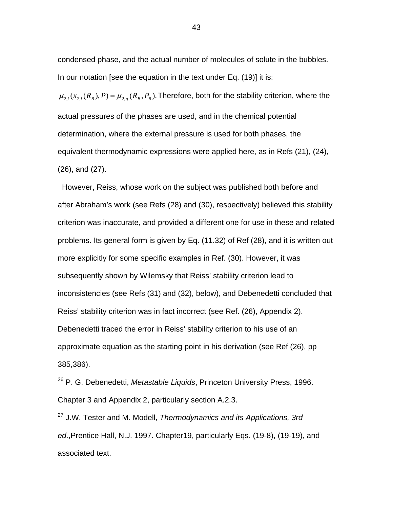condensed phase, and the actual number of molecules of solute in the bubbles. In our notation [see the equation in the text under Eq. (19)] it is:

 $\mu_{2,l}(x_{2,l}(R_B), P) = \mu_{2,e}(R_B, P_B)$ . Therefore, both for the stability criterion, where the actual pressures of the phases are used, and in the chemical potential determination, where the external pressure is used for both phases, the equivalent thermodynamic expressions were applied here, as in Refs (21), (24), (26), and (27).

 However, Reiss, whose work on the subject was published both before and after Abraham's work (see Refs (28) and (30), respectively) believed this stability criterion was inaccurate, and provided a different one for use in these and related problems. Its general form is given by Eq. (11.32) of Ref (28), and it is written out more explicitly for some specific examples in Ref. (30). However, it was subsequently shown by Wilemsky that Reiss' stability criterion lead to inconsistencies (see Refs (31) and (32), below), and Debenedetti concluded that Reiss' stability criterion was in fact incorrect (see Ref. (26), Appendix 2). Debenedetti traced the error in Reiss' stability criterion to his use of an approximate equation as the starting point in his derivation (see Ref (26), pp 385,386).

26 P. G. Debenedetti, *Metastable Liquids*, Princeton University Press, 1996. Chapter 3 and Appendix 2, particularly section A.2.3.

27 J.W. Tester and M. Modell, *Thermodynamics and its Applications, 3rd ed*.,Prentice Hall, N.J. 1997. Chapter19, particularly Eqs. (19-8), (19-19), and associated text.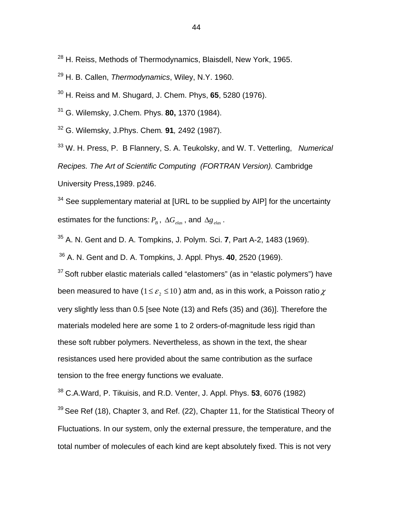- <sup>28</sup> H. Reiss, Methods of Thermodynamics, Blaisdell, New York, 1965.
- 29 H. B. Callen, *Thermodynamics*, Wiley, N.Y. 1960.
- 30 H. Reiss and M. Shugard, J. Chem. Phys, **65**, 5280 (1976).
- 31 G. Wilemsky, J.Chem. Phys. **80,** 1370 (1984).
- 32 G. Wilemsky, J.Phys. Chem*.* **91***,* 2492 (1987).

33 W. H. Press, P. B Flannery, S. A. Teukolsky, and W. T. Vetterling, *Numerical Recipes. The Art of Scientific Computing (FORTRAN Version).* Cambridge University Press,1989. p246.

 $34$  See supplementary material at [URL to be supplied by AIP] for the uncertainty estimates for the functions:  $P_B$ ,  $\Delta G_{elas}$ , and  $\Delta g_{elas}$ .

35 A. N. Gent and D. A. Tompkins, J. Polym. Sci. **7**, Part A-2, 1483 (1969).

36 A. N. Gent and D. A. Tompkins, J. Appl. Phys. **40**, 2520 (1969).

 $37$  Soft rubber elastic materials called "elastomers" (as in "elastic polymers") have been measured to have ( $1 \le \varepsilon$ ,  $\le 10$ ) atm and, as in this work, a Poisson ratio  $\chi$ very slightly less than 0.5 [see Note (13) and Refs (35) and (36)]. Therefore the materials modeled here are some 1 to 2 orders-of-magnitude less rigid than these soft rubber polymers. Nevertheless, as shown in the text, the shear resistances used here provided about the same contribution as the surface tension to the free energy functions we evaluate.

38 C.A.Ward, P. Tikuisis, and R.D. Venter, J. Appl. Phys. **53**, 6076 (1982)

 $39$  See Ref (18), Chapter 3, and Ref. (22), Chapter 11, for the Statistical Theory of Fluctuations. In our system, only the external pressure, the temperature, and the total number of molecules of each kind are kept absolutely fixed. This is not very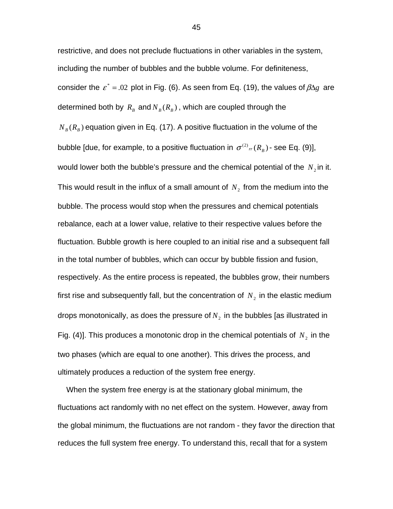restrictive, and does not preclude fluctuations in other variables in the system, including the number of bubbles and the bubble volume. For definiteness, consider the  $\varepsilon^* = .02$  plot in Fig. (6). As seen from Eq. (19), the values of  $\beta \Delta g$  are determined both by  $R_B$  and  $N_B(R_B)$ , which are coupled through the  $N_B(R_B)$  equation given in Eq. (17). A positive fluctuation in the volume of the bubble [due, for example, to a positive fluctuation in  $\sigma^{(2)}{}_{rr} (R_{_B})$  - see Eq. (9)], would lower both the bubble's pressure and the chemical potential of the  $N_2$  in it. This would result in the influx of a small amount of  $N<sub>2</sub>$  from the medium into the bubble. The process would stop when the pressures and chemical potentials rebalance, each at a lower value, relative to their respective values before the fluctuation. Bubble growth is here coupled to an initial rise and a subsequent fall in the total number of bubbles, which can occur by bubble fission and fusion, respectively. As the entire process is repeated, the bubbles grow, their numbers first rise and subsequently fall, but the concentration of  $N<sub>2</sub>$  in the elastic medium drops monotonically, as does the pressure of  $N<sub>2</sub>$  in the bubbles [as illustrated in Fig. (4)]. This produces a monotonic drop in the chemical potentials of  $N_2$  in the two phases (which are equal to one another). This drives the process, and ultimately produces a reduction of the system free energy.

 When the system free energy is at the stationary global minimum, the fluctuations act randomly with no net effect on the system. However, away from the global minimum, the fluctuations are not random - they favor the direction that reduces the full system free energy. To understand this, recall that for a system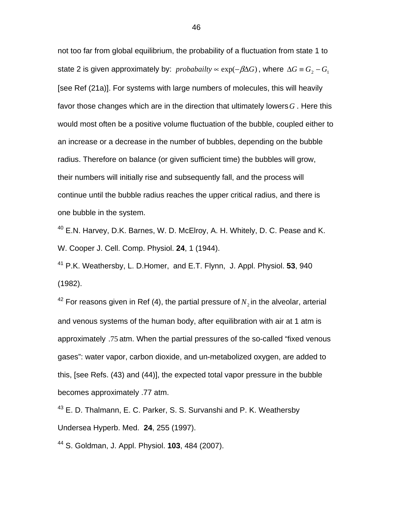not too far from global equilibrium, the probability of a fluctuation from state 1 to state 2 is given approximately by: *probabailty*  $\propto$  exp( $-\beta \Delta G$ ), where  $\Delta G \equiv G_2 - G_1$ [see Ref (21a)]. For systems with large numbers of molecules, this will heavily favor those changes which are in the direction that ultimately lowers*G* . Here this would most often be a positive volume fluctuation of the bubble, coupled either to an increase or a decrease in the number of bubbles, depending on the bubble radius. Therefore on balance (or given sufficient time) the bubbles will grow, their numbers will initially rise and subsequently fall, and the process will continue until the bubble radius reaches the upper critical radius, and there is one bubble in the system.

40 E.N. Harvey, D.K. Barnes, W. D. McElroy, A. H. Whitely, D. C. Pease and K. W. Cooper J. Cell. Comp. Physiol. **24**, 1 (1944).

41 P.K. Weathersby, L. D.Homer, and E.T. Flynn, J. Appl. Physiol. **53**, 940 (1982).

 $42$  For reasons given in Ref (4), the partial pressure of  $N<sub>2</sub>$  in the alveolar, arterial and venous systems of the human body, after equilibration with air at 1 atm is approximately .75 atm. When the partial pressures of the so-called "fixed venous gases": water vapor, carbon dioxide, and un-metabolized oxygen, are added to this, [see Refs. (43) and (44)], the expected total vapor pressure in the bubble becomes approximately .77 atm.

<sup>43</sup> E. D. Thalmann, E. C. Parker, S. S. Survanshi and P. K. Weathersby Undersea Hyperb. Med. **24**, 255 (1997).

44 S. Goldman, J. Appl. Physiol. **103**, 484 (2007).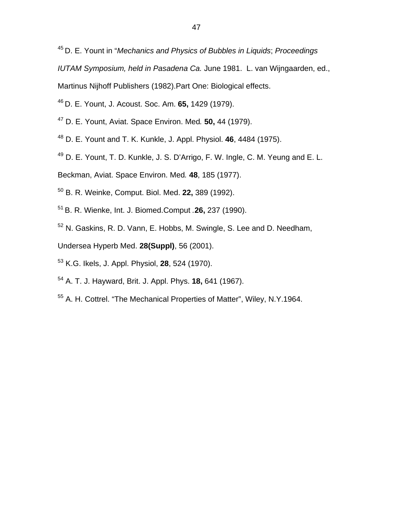45 D. E. Yount in "*Mechanics and Physics of Bubbles in Liquids*; *Proceedings* 

*IUTAM Symposium, held in Pasadena Ca.* June 1981. L. van Wijngaarden, ed.,

Martinus Nijhoff Publishers (1982).Part One: Biological effects.

- 46 D. E. Yount, J. Acoust. Soc. Am. **65,** 1429 (1979).
- 47 D. E. Yount, Aviat. Space Environ. Med*.* **50,** 44 (1979).
- 48 D. E. Yount and T. K. Kunkle, J. Appl. Physiol. **46**, 4484 (1975).
- 49 D. E. Yount, T. D. Kunkle, J. S. D'Arrigo, F. W. Ingle, C. M. Yeung and E. L.
- Beckman, Aviat. Space Environ. Med*.* **48**, 185 (1977).
- 50 B. R. Weinke, Comput. Biol. Med. **22,** 389 (1992).
- 51 B. R. Wienke, Int. J. Biomed.Comput *.***26,** 237 (1990).
- 52 N. Gaskins, R. D. Vann, E. Hobbs, M. Swingle, S. Lee and D. Needham,
- Undersea Hyperb Med. **28(Suppl)**, 56 (2001).
- 53 K.G. Ikels, J. Appl. Physiol, **28**, 524 (1970).
- 54 A. T. J. Hayward, Brit. J. Appl. Phys. **18,** 641 (1967).
- 55 A. H. Cottrel. "The Mechanical Properties of Matter", Wiley, N.Y.1964.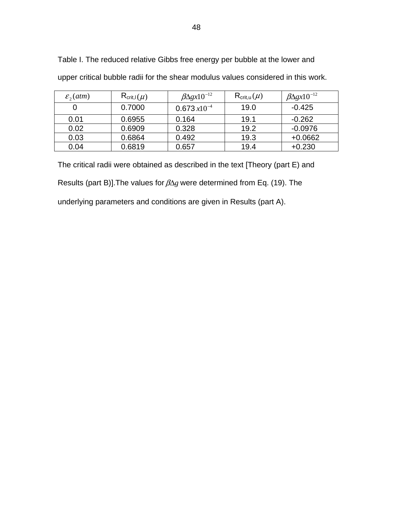| $\varepsilon$ <sub>2</sub> (atm) | $R_{\text{crit},I}(\mu)$ | $\beta\Delta gx10^{-12}$ | $\mathsf{R}_{\textsf{crit},\mathsf{u}}(\mu)$ | $\beta\Delta gx10^{-12}$ |
|----------------------------------|--------------------------|--------------------------|----------------------------------------------|--------------------------|
|                                  | 0.7000                   | $0.673 x 10^{-4}$        | 19.0                                         | $-0.425$                 |
| 0.01                             | 0.6955                   | 0.164                    | 19.1                                         | $-0.262$                 |
| 0.02                             | 0.6909                   | 0.328                    | 19.2                                         | $-0.0976$                |
| 0.03                             | 0.6864                   | 0.492                    | 19.3                                         | $+0.0662$                |
| 0.04                             | 0.6819                   | 0.657                    | 19.4                                         | $+0.230$                 |

Table I. The reduced relative Gibbs free energy per bubble at the lower and

upper critical bubble radii for the shear modulus values considered in this work.

The critical radii were obtained as described in the text [Theory (part E) and

Results (part B)].The values for βΔ*g* were determined from Eq. (19). The

underlying parameters and conditions are given in Results (part A).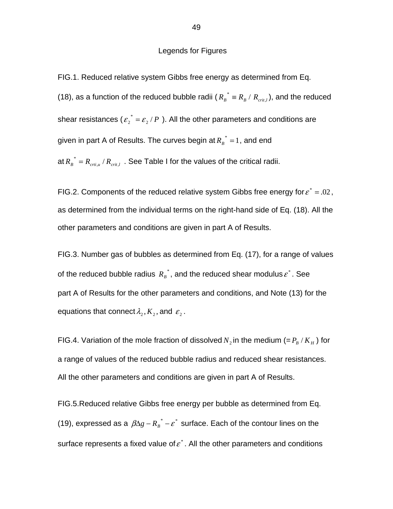### Legends for Figures

FIG.1. Reduced relative system Gibbs free energy as determined from Eq. (18), as a function of the reduced bubble radii ( $R_B^* \equiv R_B / R_{crit,l}$ ), and the reduced shear resistances ( $\varepsilon_2^*$  =  $\varepsilon_2$  / P). All the other parameters and conditions are given in part A of Results. The curves begin at  $R_B^* = 1$ , and end at  $R_B^* = R_{crit,u}/R_{crit,l}$ . See Table I for the values of the critical radii.

FIG.2. Components of the reduced relative system Gibbs free energy for  $\varepsilon^* = .02$ . as determined from the individual terms on the right-hand side of Eq. (18). All the other parameters and conditions are given in part A of Results.

FIG.3. Number gas of bubbles as determined from Eq. (17), for a range of values of the reduced bubble radius  $R_B^*$ , and the reduced shear modulus  $\varepsilon^*$ . See part A of Results for the other parameters and conditions, and Note (13) for the equations that connect  $\lambda_2, K_2$ , and  $\varepsilon_2$ .

FIG.4. Variation of the mole fraction of dissolved  $N_2$  in the medium (=  $P_B$  /  $K_H$ ) for a range of values of the reduced bubble radius and reduced shear resistances. All the other parameters and conditions are given in part A of Results.

FIG.5.Reduced relative Gibbs free energy per bubble as determined from Eq. (19), expressed as a  $\beta \Delta g - R_B^* - \varepsilon^*$  surface. Each of the contour lines on the surface represents a fixed value of  $\varepsilon^*$ . All the other parameters and conditions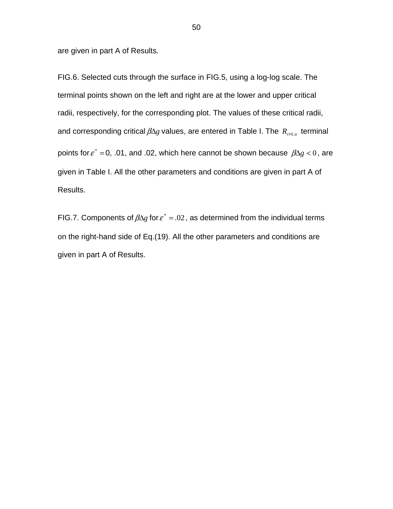are given in part A of Results.

FIG.6. Selected cuts through the surface in FIG.5, using a log-log scale. The terminal points shown on the left and right are at the lower and upper critical radii, respectively, for the corresponding plot. The values of these critical radii, and corresponding critical  $\beta \Delta g$  values, are entered in Table I. The  $R_{crit,u}$  terminal points for  $\varepsilon^* = 0$ , .01, and .02, which here cannot be shown because  $\beta \Delta g < 0$ , are given in Table I. All the other parameters and conditions are given in part A of Results.

FIG.7. Components of  $\beta \Delta g$  for  $\varepsilon^* = .02$ , as determined from the individual terms on the right-hand side of Eq.(19). All the other parameters and conditions are given in part A of Results.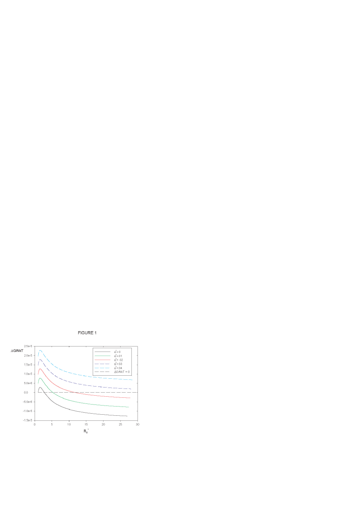

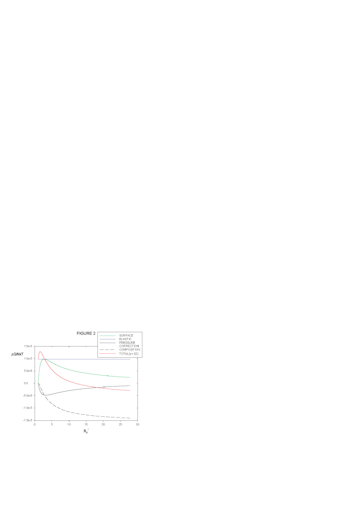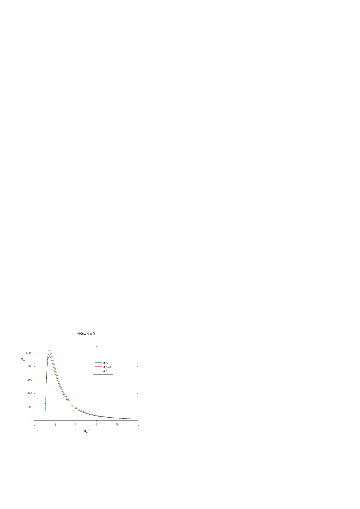

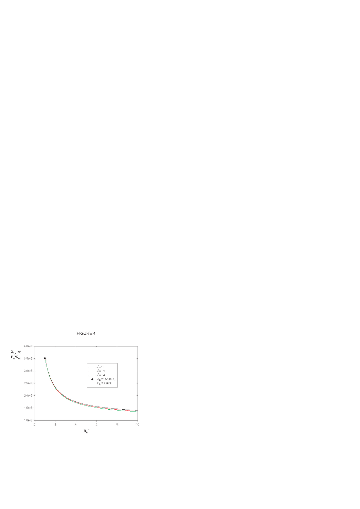

# FIGURE 4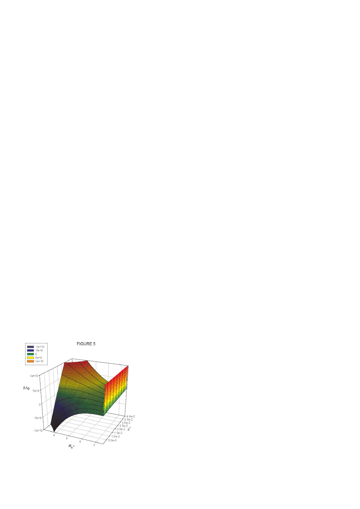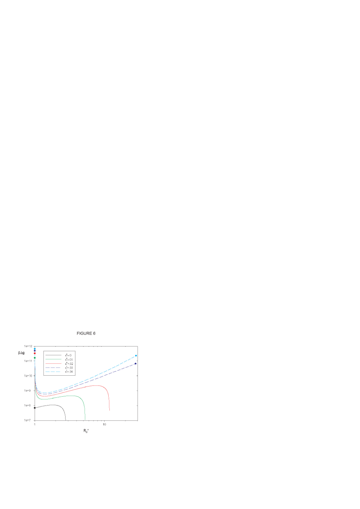

# FIGURE 6